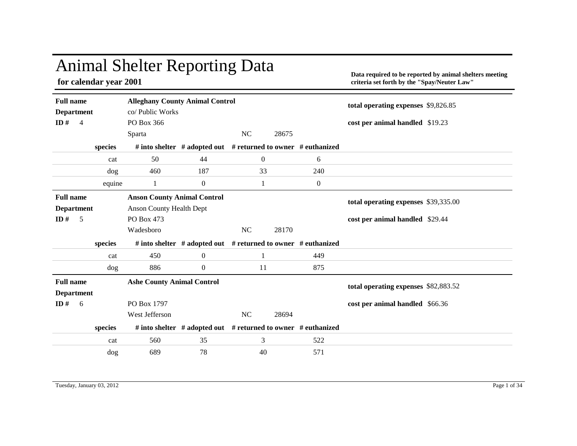## Animal Shelter Reporting Data

**for calendar year 2001**

**Data required to be reported by animal shelters meeting criteria set forth by the "Spay/Neuter Law"**

| <b>Full name</b>                      |         | <b>Alleghany County Animal Control</b> |                                                                     |                  |       |                  | total operating expenses \$9,826.85  |  |
|---------------------------------------|---------|----------------------------------------|---------------------------------------------------------------------|------------------|-------|------------------|--------------------------------------|--|
| <b>Department</b>                     |         | co/ Public Works                       |                                                                     |                  |       |                  |                                      |  |
| ID $#$<br>$\overline{4}$              |         | PO Box 366                             |                                                                     |                  |       |                  | cost per animal handled \$19.23      |  |
|                                       |         | Sparta                                 |                                                                     | <b>NC</b>        | 28675 |                  |                                      |  |
|                                       | species |                                        | # into shelter $#$ adopted out $#$ returned to owner $#$ euthanized |                  |       |                  |                                      |  |
|                                       | cat     | 50                                     | 44                                                                  | $\boldsymbol{0}$ |       | 6                |                                      |  |
|                                       | dog     | 460                                    | 187                                                                 | 33               |       | 240              |                                      |  |
|                                       | equine  | 1                                      | $\boldsymbol{0}$                                                    | 1                |       | $\boldsymbol{0}$ |                                      |  |
| <b>Full name</b>                      |         | <b>Anson County Animal Control</b>     |                                                                     |                  |       |                  | total operating expenses \$39,335.00 |  |
| <b>Department</b>                     |         | <b>Anson County Health Dept</b>        |                                                                     |                  |       |                  |                                      |  |
| ID#<br>5                              |         | PO Box 473                             |                                                                     |                  |       |                  | cost per animal handled \$29.44      |  |
|                                       |         |                                        |                                                                     |                  |       |                  |                                      |  |
|                                       |         | Wadesboro                              |                                                                     | NC               | 28170 |                  |                                      |  |
|                                       | species |                                        | # into shelter # adopted out # returned to owner # euthanized       |                  |       |                  |                                      |  |
|                                       | cat     | 450                                    | $\overline{0}$                                                      | 1                |       | 449              |                                      |  |
|                                       | dog     | 886                                    | $\boldsymbol{0}$                                                    | 11               |       | 875              |                                      |  |
| <b>Full name</b><br><b>Department</b> |         | <b>Ashe County Animal Control</b>      |                                                                     |                  |       |                  | total operating expenses \$82,883.52 |  |
| ID#<br>6                              |         | PO Box 1797                            |                                                                     |                  |       |                  | cost per animal handled \$66.36      |  |
|                                       |         | West Jefferson                         |                                                                     | NC               | 28694 |                  |                                      |  |
|                                       | species |                                        | # into shelter # adopted out # returned to owner # euthanized       |                  |       |                  |                                      |  |
|                                       | cat     | 560                                    | 35                                                                  | 3                |       | 522              |                                      |  |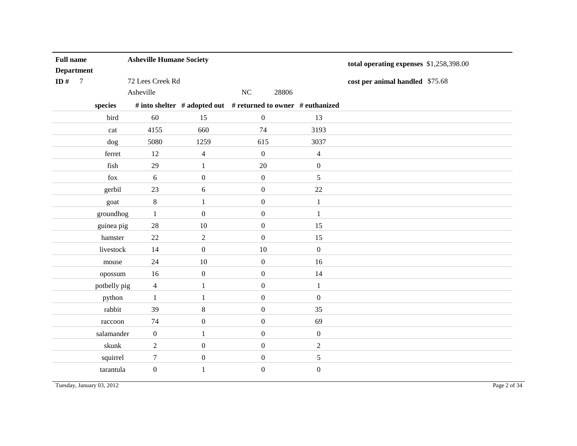| <b>Full name</b>  |                |              | <b>Asheville Humane Society</b> |                  |                                                               |                  | total operating expenses \$1,258,398.00 |
|-------------------|----------------|--------------|---------------------------------|------------------|---------------------------------------------------------------|------------------|-----------------------------------------|
| <b>Department</b> |                |              |                                 |                  |                                                               |                  |                                         |
| ID $#$            | $\overline{7}$ |              | 72 Lees Creek Rd                |                  |                                                               |                  | cost per animal handled \$75.68         |
|                   |                |              | Asheville                       |                  | NC<br>28806                                                   |                  |                                         |
|                   |                | species      |                                 |                  | # into shelter # adopted out # returned to owner # euthanized |                  |                                         |
|                   |                | bird         | 60                              | 15               | $\boldsymbol{0}$                                              | 13               |                                         |
|                   |                | cat          | 4155                            | 660              | 74                                                            | 3193             |                                         |
|                   |                | dog          | 5080                            | 1259             | 615                                                           | 3037             |                                         |
|                   |                | ferret       | 12                              | $\overline{4}$   | $\boldsymbol{0}$                                              | $\overline{4}$   |                                         |
|                   |                | fish         | 29                              | $\mathbf{1}$     | $20\,$                                                        | $\boldsymbol{0}$ |                                         |
|                   |                | fox          | 6                               | $\boldsymbol{0}$ | $\mathbf{0}$                                                  | 5                |                                         |
|                   |                | gerbil       | 23                              | 6                | $\boldsymbol{0}$                                              | $22\,$           |                                         |
|                   |                | goat         | $\,8\,$                         | 1                | $\boldsymbol{0}$                                              | $\mathbf{1}$     |                                         |
|                   |                | groundhog    | 1                               | $\mathbf{0}$     | $\boldsymbol{0}$                                              | 1                |                                         |
|                   |                | guinea pig   | $28\,$                          | 10               | $\boldsymbol{0}$                                              | 15               |                                         |
|                   |                | hamster      | 22                              | $\overline{2}$   | $\boldsymbol{0}$                                              | 15               |                                         |
|                   |                | livestock    | 14                              | $\boldsymbol{0}$ | $10\,$                                                        | $\boldsymbol{0}$ |                                         |
|                   |                | mouse        | 24                              | 10               | $\boldsymbol{0}$                                              | 16               |                                         |
|                   |                | opossum      | 16                              | $\boldsymbol{0}$ | $\boldsymbol{0}$                                              | 14               |                                         |
|                   |                | potbelly pig | $\overline{4}$                  | $\mathbf{1}$     | $\boldsymbol{0}$                                              | $\mathbf{1}$     |                                         |
|                   |                | python       | $\mathbf{1}$                    | 1                | $\boldsymbol{0}$                                              | $\boldsymbol{0}$ |                                         |
|                   |                | rabbit       | 39                              | $8\,$            | $\boldsymbol{0}$                                              | 35               |                                         |
|                   |                | raccoon      | 74                              | $\boldsymbol{0}$ | $\boldsymbol{0}$                                              | 69               |                                         |
|                   |                | salamander   | $\boldsymbol{0}$                | 1                | $\mathbf{0}$                                                  | $\boldsymbol{0}$ |                                         |
|                   |                | skunk        | $\overline{2}$                  | $\boldsymbol{0}$ | $\boldsymbol{0}$                                              | $\sqrt{2}$       |                                         |
|                   |                | squirrel     | $\boldsymbol{7}$                | $\boldsymbol{0}$ | $\boldsymbol{0}$                                              | 5                |                                         |
|                   |                | tarantula    | $\boldsymbol{0}$                | 1                | $\boldsymbol{0}$                                              | $\boldsymbol{0}$ |                                         |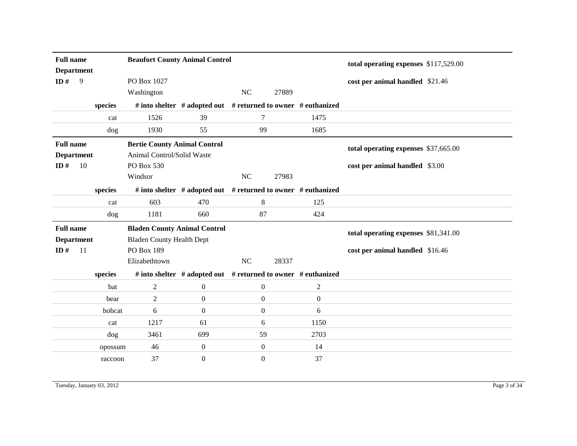| <b>Full name</b>         |               |         | <b>Beaufort County Animal Control</b> |                                                                     |                  |       |                  | total operating expenses \$117,529.00 |  |
|--------------------------|---------------|---------|---------------------------------------|---------------------------------------------------------------------|------------------|-------|------------------|---------------------------------------|--|
| <b>Department</b><br>ID# | 9             |         | PO Box 1027<br>Washington             |                                                                     | NC               | 27889 |                  | cost per animal handled \$21.46       |  |
|                          |               |         |                                       |                                                                     |                  |       |                  |                                       |  |
|                          |               | species |                                       | # into shelter $#$ adopted out $#$ returned to owner $#$ euthanized |                  |       |                  |                                       |  |
|                          |               | cat     | 1526                                  | 39                                                                  | 7                |       | 1475             |                                       |  |
|                          |               | dog     | 1930                                  | 55                                                                  | 99               |       | 1685             |                                       |  |
| <b>Full name</b>         |               |         | <b>Bertie County Animal Control</b>   |                                                                     |                  |       |                  | total operating expenses \$37,665.00  |  |
| <b>Department</b>        |               |         | Animal Control/Solid Waste            |                                                                     |                  |       |                  |                                       |  |
| ID $#$                   | 10            |         | PO Box 530                            |                                                                     |                  |       |                  | cost per animal handled \$3.00        |  |
|                          |               |         | Windsor                               |                                                                     | <b>NC</b>        | 27983 |                  |                                       |  |
|                          |               | species |                                       | # into shelter # adopted out # returned to owner # euthanized       |                  |       |                  |                                       |  |
|                          |               | cat     | 603                                   | 470                                                                 | 8                |       | 125              |                                       |  |
|                          |               | dog     | 1181                                  | 660                                                                 | 87               |       | 424              |                                       |  |
| <b>Full name</b>         |               |         | <b>Bladen County Animal Control</b>   |                                                                     |                  |       |                  | total operating expenses \$81,341.00  |  |
| <b>Department</b>        |               |         | <b>Bladen County Health Dept</b>      |                                                                     |                  |       |                  |                                       |  |
| ID#                      | <sup>11</sup> |         | <b>PO Box 189</b>                     |                                                                     |                  |       |                  | cost per animal handled \$16.46       |  |
|                          |               |         | Elizabethtown                         |                                                                     | <b>NC</b>        | 28337 |                  |                                       |  |
|                          |               | species |                                       | # into shelter # adopted out # returned to owner # euthanized       |                  |       |                  |                                       |  |
|                          |               | bat     | 2                                     | $\boldsymbol{0}$                                                    | $\boldsymbol{0}$ |       | $\overline{c}$   |                                       |  |
|                          |               |         |                                       |                                                                     |                  |       |                  |                                       |  |
|                          |               | bear    | 2                                     | $\boldsymbol{0}$                                                    | $\overline{0}$   |       | $\boldsymbol{0}$ |                                       |  |
|                          |               | bobcat  | 6                                     | $\boldsymbol{0}$                                                    | $\boldsymbol{0}$ |       | 6                |                                       |  |
|                          |               | cat     | 1217                                  | 61                                                                  | 6                |       | 1150             |                                       |  |
|                          |               | dog     | 3461                                  | 699                                                                 | 59               |       | 2703             |                                       |  |
|                          |               | opossum | 46                                    | $\mathbf{0}$                                                        | $\overline{0}$   |       | 14               |                                       |  |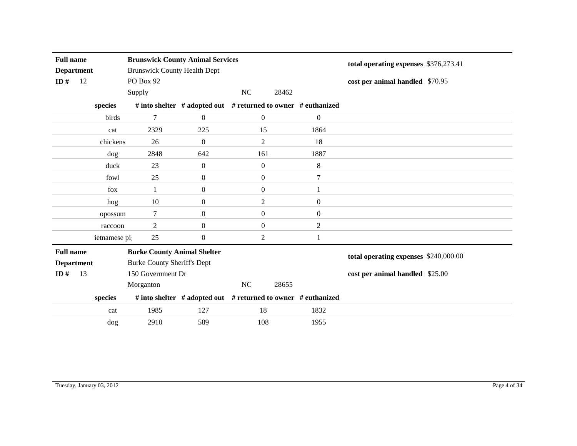| <b>Full name</b><br><b>Department</b> |    |              | <b>Brunswick County Animal Services</b><br><b>Brunswick County Health Dept</b> |                                                               |                  | total operating expenses \$376,273.41 |                |                                       |
|---------------------------------------|----|--------------|--------------------------------------------------------------------------------|---------------------------------------------------------------|------------------|---------------------------------------|----------------|---------------------------------------|
| ID $#$                                | 12 |              | PO Box 92                                                                      |                                                               |                  |                                       |                |                                       |
|                                       |    |              |                                                                                |                                                               |                  |                                       |                | cost per animal handled \$70.95       |
|                                       |    |              | Supply                                                                         |                                                               | NC               | 28462                                 |                |                                       |
|                                       |    | species      |                                                                                | # into shelter # adopted out # returned to owner # euthanized |                  |                                       |                |                                       |
|                                       |    | birds        | 7                                                                              | $\theta$                                                      | $\overline{0}$   |                                       | $\mathbf{0}$   |                                       |
|                                       |    | cat          | 2329                                                                           | 225                                                           | 15               |                                       | 1864           |                                       |
|                                       |    | chickens     | 26                                                                             | $\theta$                                                      | $\overline{2}$   |                                       | 18             |                                       |
|                                       |    | dog          | 2848                                                                           | 642                                                           | 161              |                                       | 1887           |                                       |
|                                       |    | duck         | 23                                                                             | $\boldsymbol{0}$                                              | $\boldsymbol{0}$ |                                       | 8              |                                       |
|                                       |    | fowl         | 25                                                                             | $\boldsymbol{0}$                                              | $\boldsymbol{0}$ |                                       | $\tau$         |                                       |
|                                       |    | fox          | -1                                                                             | $\theta$                                                      | $\boldsymbol{0}$ |                                       | 1              |                                       |
|                                       |    | hog          | 10                                                                             | $\boldsymbol{0}$                                              | $\overline{2}$   |                                       | $\mathbf{0}$   |                                       |
|                                       |    | opossum      | $\tau$                                                                         | $\boldsymbol{0}$                                              | $\boldsymbol{0}$ |                                       | $\mathbf{0}$   |                                       |
|                                       |    | raccoon      | 2                                                                              | $\boldsymbol{0}$                                              | $\boldsymbol{0}$ |                                       | $\overline{2}$ |                                       |
|                                       |    | ietnamese pi | 25                                                                             | $\boldsymbol{0}$                                              | $\overline{c}$   |                                       | 1              |                                       |
| <b>Full name</b>                      |    |              | <b>Burke County Animal Shelter</b>                                             |                                                               |                  |                                       |                | total operating expenses \$240,000.00 |
| <b>Department</b>                     |    |              | <b>Burke County Sheriff's Dept</b>                                             |                                                               |                  |                                       |                |                                       |
| ID $#$                                | 13 |              | 150 Government Dr                                                              |                                                               |                  |                                       |                | cost per animal handled \$25.00       |
|                                       |    |              | Morganton                                                                      |                                                               | NC               | 28655                                 |                |                                       |
|                                       |    | species      |                                                                                | # into shelter # adopted out # returned to owner # euthanized |                  |                                       |                |                                       |
|                                       |    | cat          | 1985                                                                           | 127                                                           | 18               |                                       | 1832           |                                       |
|                                       |    | dog          | 2910                                                                           | 589                                                           | 108              |                                       | 1955           |                                       |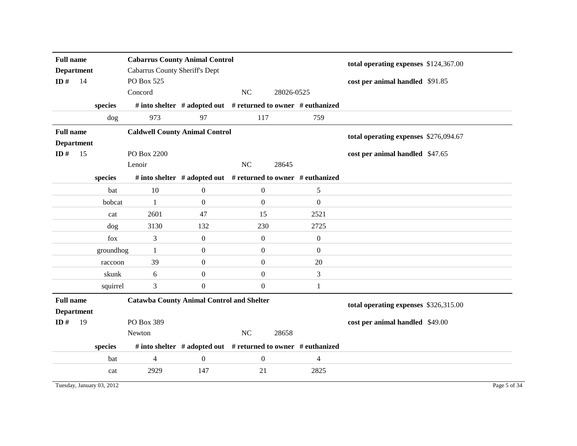| <b>Full name</b><br><b>Department</b><br>ID $#$<br>14 |    |           | <b>Cabarrus County Animal Control</b><br>Cabarrus County Sheriff's Dept<br>PO Box 525 |                                                               |                  |                  | total operating expenses \$124,367.00<br>cost per animal handled \$91.85 |
|-------------------------------------------------------|----|-----------|---------------------------------------------------------------------------------------|---------------------------------------------------------------|------------------|------------------|--------------------------------------------------------------------------|
|                                                       |    |           | Concord                                                                               |                                                               | NC               | 28026-0525       |                                                                          |
|                                                       |    | species   |                                                                                       | # into shelter # adopted out # returned to owner # euthanized |                  |                  |                                                                          |
|                                                       |    | dog       | 973                                                                                   | 97                                                            | 117              | 759              |                                                                          |
| <b>Full name</b><br><b>Department</b>                 |    |           | <b>Caldwell County Animal Control</b>                                                 |                                                               |                  |                  | total operating expenses \$276,094.67                                    |
| ID $#$                                                | 15 |           | PO Box 2200                                                                           |                                                               |                  |                  | cost per animal handled \$47.65                                          |
|                                                       |    | species   | Lenoir                                                                                | # into shelter # adopted out # returned to owner # euthanized | NC               | 28645            |                                                                          |
|                                                       |    | bat       | 10                                                                                    | $\mathbf{0}$                                                  | $\boldsymbol{0}$ | 5                |                                                                          |
|                                                       |    | bobcat    | -1                                                                                    | $\overline{0}$                                                | $\mathbf{0}$     | $\mathbf{0}$     |                                                                          |
|                                                       |    | cat       | 2601                                                                                  | 47                                                            | 15               | 2521             |                                                                          |
|                                                       |    | dog       | 3130                                                                                  | 132                                                           | 230              | 2725             |                                                                          |
|                                                       |    | fox       | 3                                                                                     | $\mathbf{0}$                                                  | $\mathbf{0}$     | $\boldsymbol{0}$ |                                                                          |
|                                                       |    | groundhog | -1                                                                                    | $\overline{0}$                                                | $\overline{0}$   | $\mathbf{0}$     |                                                                          |
|                                                       |    | raccoon   | 39                                                                                    | $\boldsymbol{0}$                                              | $\mathbf{0}$     | 20               |                                                                          |
|                                                       |    | skunk     | 6                                                                                     | $\overline{0}$                                                | $\boldsymbol{0}$ | $\mathfrak{Z}$   |                                                                          |
|                                                       |    | squirrel  | 3                                                                                     | $\boldsymbol{0}$                                              | $\overline{0}$   | 1                |                                                                          |
| <b>Full name</b><br><b>Department</b>                 |    |           | <b>Catawba County Animal Control and Shelter</b>                                      |                                                               |                  |                  | total operating expenses \$326,315.00                                    |
| ID#                                                   | 19 |           | PO Box 389                                                                            |                                                               |                  |                  | cost per animal handled \$49.00                                          |
|                                                       |    |           | Newton                                                                                |                                                               | NC               | 28658            |                                                                          |
|                                                       |    | species   |                                                                                       | # into shelter # adopted out # returned to owner # euthanized |                  |                  |                                                                          |
|                                                       |    | bat       | $\overline{4}$                                                                        | $\boldsymbol{0}$                                              | $\boldsymbol{0}$ | 4                |                                                                          |
|                                                       |    | cat       | 2929                                                                                  | 147                                                           | 21               | 2825             |                                                                          |

Tuesday, January 03, 2012 Page 5 of 34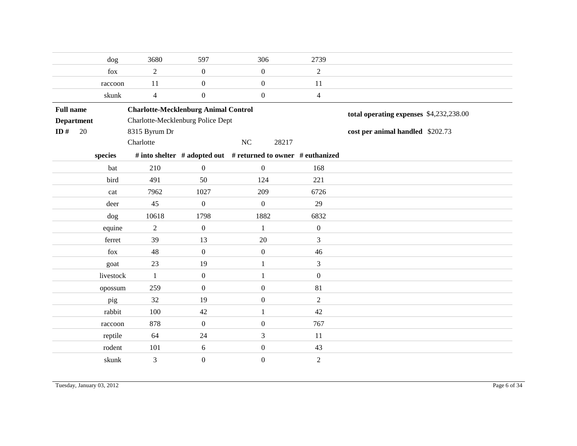|                  |                   | dog       | 3680                                        | 597              | 306                                                           | 2739             |                                         |
|------------------|-------------------|-----------|---------------------------------------------|------------------|---------------------------------------------------------------|------------------|-----------------------------------------|
|                  |                   | fox       | $\overline{c}$                              | $\boldsymbol{0}$ | $\boldsymbol{0}$                                              | $\overline{2}$   |                                         |
|                  |                   | raccoon   | 11                                          | $\boldsymbol{0}$ | $\boldsymbol{0}$                                              | 11               |                                         |
|                  |                   | skunk     | $\overline{4}$                              | $\boldsymbol{0}$ | $\boldsymbol{0}$                                              | $\overline{4}$   |                                         |
| <b>Full name</b> |                   |           | <b>Charlotte-Mecklenburg Animal Control</b> |                  |                                                               |                  | total operating expenses \$4,232,238.00 |
|                  | <b>Department</b> |           | Charlotte-Mecklenburg Police Dept           |                  |                                                               |                  |                                         |
| ID $#$           | 20                |           | 8315 Byrum Dr                               |                  |                                                               |                  | cost per animal handled \$202.73        |
|                  |                   |           | Charlotte                                   |                  | NC<br>28217                                                   |                  |                                         |
|                  |                   | species   |                                             |                  | # into shelter # adopted out # returned to owner # euthanized |                  |                                         |
|                  |                   | bat       | 210                                         | $\boldsymbol{0}$ | $\boldsymbol{0}$                                              | 168              |                                         |
|                  |                   | bird      | 491                                         | 50               | 124                                                           | 221              |                                         |
|                  |                   | cat       | 7962                                        | 1027             | 209                                                           | 6726             |                                         |
|                  |                   | deer      | 45                                          | $\boldsymbol{0}$ | $\boldsymbol{0}$                                              | 29               |                                         |
|                  |                   | dog       | 10618                                       | 1798             | 1882                                                          | 6832             |                                         |
|                  |                   | equine    | $\boldsymbol{2}$                            | $\boldsymbol{0}$ | 1                                                             | $\mathbf{0}$     |                                         |
|                  |                   | ferret    | 39                                          | 13               | 20                                                            | 3                |                                         |
|                  |                   | fox       | 48                                          | $\boldsymbol{0}$ | $\boldsymbol{0}$                                              | 46               |                                         |
|                  |                   | goat      | 23                                          | 19               | $\mathbf{1}$                                                  | $\overline{3}$   |                                         |
|                  |                   | livestock | $\mathbf{1}$                                | $\boldsymbol{0}$ | 1                                                             | $\mathbf{0}$     |                                         |
|                  |                   | opossum   | 259                                         | $\boldsymbol{0}$ | $\boldsymbol{0}$                                              | 81               |                                         |
|                  |                   | pig       | 32                                          | 19               | $\boldsymbol{0}$                                              | $\overline{2}$   |                                         |
|                  |                   | rabbit    | 100                                         | 42               | $\mathbf{1}$                                                  | 42               |                                         |
|                  |                   | raccoon   | 878                                         | $\boldsymbol{0}$ | $\boldsymbol{0}$                                              | 767              |                                         |
|                  |                   | reptile   | 64                                          | 24               | 3                                                             | 11               |                                         |
|                  |                   | rodent    | 101                                         | 6                | $\boldsymbol{0}$                                              | 43               |                                         |
|                  |                   | skunk     | 3                                           | $\boldsymbol{0}$ | $\boldsymbol{0}$                                              | $\boldsymbol{2}$ |                                         |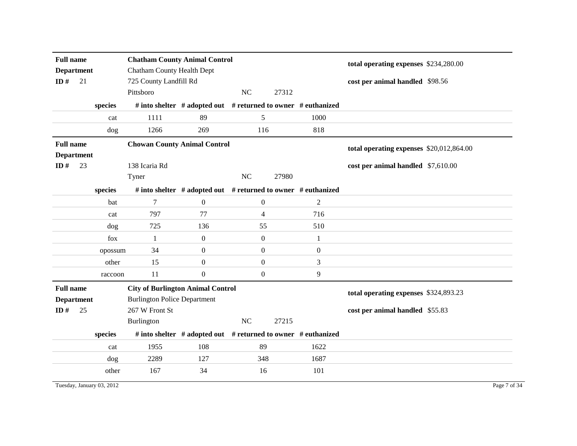| <b>Full name</b><br><b>Department</b><br>ID $#$ | 21      | <b>Chatham County Animal Control</b><br><b>Chatham County Health Dept</b><br>725 County Landfill Rd |                                                               |                  |                |                | total operating expenses \$234,280.00<br>cost per animal handled \$98.56 |
|-------------------------------------------------|---------|-----------------------------------------------------------------------------------------------------|---------------------------------------------------------------|------------------|----------------|----------------|--------------------------------------------------------------------------|
|                                                 |         | Pittsboro                                                                                           |                                                               | NC               | 27312          |                |                                                                          |
|                                                 | species |                                                                                                     | # into shelter # adopted out # returned to owner # euthanized |                  |                |                |                                                                          |
|                                                 | cat     | 1111                                                                                                | 89                                                            | 5                |                | 1000           |                                                                          |
|                                                 | dog     | 1266                                                                                                | 269                                                           |                  | 116            | 818            |                                                                          |
| <b>Full name</b><br><b>Department</b>           |         | <b>Chowan County Animal Control</b>                                                                 |                                                               |                  |                |                | total operating expenses \$20,012,864.00                                 |
| ID $#$                                          | 23      | 138 Icaria Rd<br>Tyner                                                                              |                                                               | NC               | 27980          |                | cost per animal handled \$7,610.00                                       |
|                                                 | species |                                                                                                     | # into shelter # adopted out # returned to owner # euthanized |                  |                |                |                                                                          |
|                                                 | bat     | $\tau$                                                                                              | $\overline{0}$                                                | $\mathbf{0}$     |                | $\overline{2}$ |                                                                          |
|                                                 | cat     | 797                                                                                                 | 77                                                            | 4                |                | 716            |                                                                          |
|                                                 | dog     | 725                                                                                                 | 136                                                           | 55               |                | 510            |                                                                          |
|                                                 | fox     | 1                                                                                                   | $\mathbf{0}$                                                  | $\boldsymbol{0}$ |                | 1              |                                                                          |
|                                                 | opossum | 34                                                                                                  | $\overline{0}$                                                | $\overline{0}$   |                | $\overline{0}$ |                                                                          |
|                                                 | other   | 15                                                                                                  | $\boldsymbol{0}$                                              |                  | $\overline{0}$ | 3              |                                                                          |
|                                                 | raccoon | 11                                                                                                  | $\boldsymbol{0}$                                              | $\overline{0}$   |                | 9              |                                                                          |
| <b>Full name</b><br><b>Department</b><br>ID#    | 25      | <b>City of Burlington Animal Control</b><br><b>Burlington Police Department</b><br>267 W Front St   |                                                               |                  |                |                | total operating expenses \$324,893.23<br>cost per animal handled \$55.83 |
|                                                 |         | Burlington                                                                                          |                                                               | NC               | 27215          |                |                                                                          |
|                                                 | species |                                                                                                     | # into shelter # adopted out # returned to owner # euthanized |                  |                |                |                                                                          |
|                                                 | cat     | 1955                                                                                                | 108                                                           | 89               |                | 1622           |                                                                          |
|                                                 | dog     | 2289                                                                                                | 127                                                           | 348              |                | 1687           |                                                                          |
|                                                 | other   | 167                                                                                                 | 34                                                            | 16               |                | 101            |                                                                          |

Tuesday, January 03, 2012 Page 7 of 34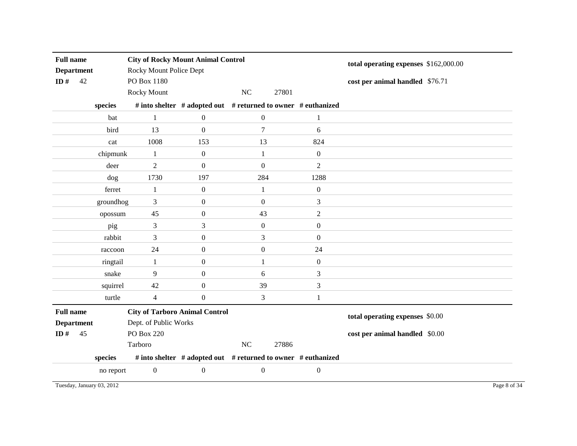| <b>Full name</b><br><b>Department</b><br>ID#<br>42 |           | <b>City of Rocky Mount Animal Control</b><br>Rocky Mount Police Dept<br>PO Box 1180<br>Rocky Mount |                  | NC<br>27801                                                   |                  | total operating expenses \$162,000.00<br>cost per animal handled \$76.71 |
|----------------------------------------------------|-----------|----------------------------------------------------------------------------------------------------|------------------|---------------------------------------------------------------|------------------|--------------------------------------------------------------------------|
|                                                    | species   |                                                                                                    |                  | # into shelter # adopted out # returned to owner # euthanized |                  |                                                                          |
|                                                    | bat       | $\mathbf{1}$                                                                                       | $\boldsymbol{0}$ | $\boldsymbol{0}$                                              | $\mathbf{1}$     |                                                                          |
|                                                    | bird      | 13                                                                                                 | $\overline{0}$   | $\boldsymbol{7}$                                              | 6                |                                                                          |
|                                                    | cat       | 1008                                                                                               | 153              | 13                                                            | 824              |                                                                          |
|                                                    | chipmunk  | $\mathbf{1}$                                                                                       | $\boldsymbol{0}$ | $\mathbf{1}$                                                  | $\boldsymbol{0}$ |                                                                          |
|                                                    | deer      | $\overline{2}$                                                                                     | $\mathbf{0}$     | $\boldsymbol{0}$                                              | $\overline{2}$   |                                                                          |
|                                                    | dog       | 1730                                                                                               | 197              | 284                                                           | 1288             |                                                                          |
|                                                    | ferret    | 1                                                                                                  | $\boldsymbol{0}$ | $\mathbf{1}$                                                  | $\boldsymbol{0}$ |                                                                          |
|                                                    | groundhog | 3                                                                                                  | $\boldsymbol{0}$ | $\boldsymbol{0}$                                              | $\mathfrak 3$    |                                                                          |
|                                                    | opossum   | 45                                                                                                 | $\overline{0}$   | 43                                                            | $\overline{2}$   |                                                                          |
|                                                    | pig       | 3                                                                                                  | 3                | $\boldsymbol{0}$                                              | $\boldsymbol{0}$ |                                                                          |
|                                                    | rabbit    | 3                                                                                                  | $\boldsymbol{0}$ | $\overline{3}$                                                | $\mathbf{0}$     |                                                                          |
|                                                    | raccoon   | 24                                                                                                 | $\boldsymbol{0}$ | $\boldsymbol{0}$                                              | 24               |                                                                          |
|                                                    | ringtail  | $\mathbf{1}$                                                                                       | $\boldsymbol{0}$ | $\mathbf{1}$                                                  | $\boldsymbol{0}$ |                                                                          |
|                                                    | snake     | 9                                                                                                  | $\boldsymbol{0}$ | 6                                                             | 3                |                                                                          |
|                                                    | squirrel  | 42                                                                                                 | $\boldsymbol{0}$ | 39                                                            | 3                |                                                                          |
|                                                    | turtle    | $\overline{4}$                                                                                     | $\boldsymbol{0}$ | 3                                                             | $\mathbf{1}$     |                                                                          |
| <b>Full name</b>                                   |           | <b>City of Tarboro Animal Control</b>                                                              |                  |                                                               |                  | total operating expenses \$0.00                                          |
| <b>Department</b>                                  |           | Dept. of Public Works                                                                              |                  |                                                               |                  |                                                                          |
| ID $#$<br>45                                       |           | PO Box 220                                                                                         |                  |                                                               |                  | cost per animal handled \$0.00                                           |
|                                                    |           | Tarboro                                                                                            |                  | $\rm NC$<br>27886                                             |                  |                                                                          |
|                                                    | species   |                                                                                                    |                  | # into shelter # adopted out # returned to owner # euthanized |                  |                                                                          |
|                                                    | no report | $\boldsymbol{0}$                                                                                   | $\boldsymbol{0}$ | $\boldsymbol{0}$                                              | $\boldsymbol{0}$ |                                                                          |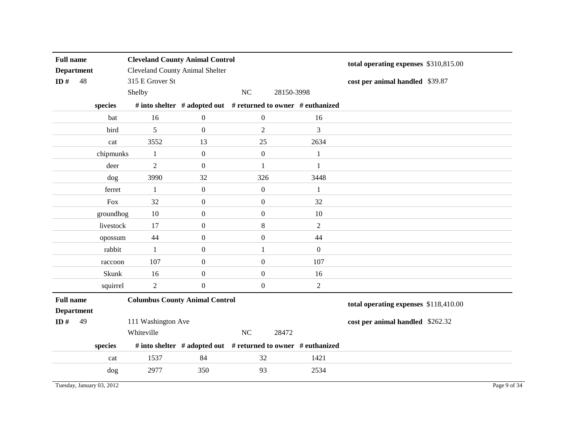| <b>Full name</b><br><b>Department</b><br>ID $#$<br>48 |    |           | <b>Cleveland County Animal Control</b><br><b>Cleveland County Animal Shelter</b><br>315 E Grover St |                                                               |                  |            |                | total operating expenses \$310,815.00<br>cost per animal handled \$39.87 |
|-------------------------------------------------------|----|-----------|-----------------------------------------------------------------------------------------------------|---------------------------------------------------------------|------------------|------------|----------------|--------------------------------------------------------------------------|
|                                                       |    |           | Shelby                                                                                              |                                                               | $\rm NC$         | 28150-3998 |                |                                                                          |
|                                                       |    | species   |                                                                                                     | # into shelter # adopted out # returned to owner # euthanized |                  |            |                |                                                                          |
|                                                       |    | bat       | 16                                                                                                  | $\boldsymbol{0}$                                              | $\boldsymbol{0}$ |            | 16             |                                                                          |
|                                                       |    | bird      | 5                                                                                                   | $\mathbf{0}$                                                  | $\overline{2}$   |            | 3              |                                                                          |
|                                                       |    | cat       | 3552                                                                                                | 13                                                            | 25               |            | 2634           |                                                                          |
|                                                       |    | chipmunks | $\mathbf{1}$                                                                                        | $\boldsymbol{0}$                                              | $\boldsymbol{0}$ |            | $\mathbf{1}$   |                                                                          |
|                                                       |    | deer      | $\overline{2}$                                                                                      | $\boldsymbol{0}$                                              | $\mathbf{1}$     |            | $\mathbf{1}$   |                                                                          |
|                                                       |    | dog       | 3990                                                                                                | 32                                                            | 326              |            | 3448           |                                                                          |
|                                                       |    | ferret    | -1                                                                                                  | $\mathbf{0}$                                                  | $\mathbf{0}$     |            | 1              |                                                                          |
|                                                       |    | Fox       | 32                                                                                                  | $\boldsymbol{0}$                                              | $\mathbf{0}$     |            | 32             |                                                                          |
|                                                       |    | groundhog | 10                                                                                                  | $\boldsymbol{0}$                                              | $\mathbf{0}$     |            | 10             |                                                                          |
|                                                       |    | livestock | 17                                                                                                  | $\boldsymbol{0}$                                              | $\,8\,$          |            | $\overline{2}$ |                                                                          |
|                                                       |    | opossum   | 44                                                                                                  | $\boldsymbol{0}$                                              | $\mathbf{0}$     |            | 44             |                                                                          |
|                                                       |    | rabbit    | -1                                                                                                  | $\mathbf{0}$                                                  | $\mathbf{1}$     |            | $\mathbf{0}$   |                                                                          |
|                                                       |    | raccoon   | 107                                                                                                 | $\boldsymbol{0}$                                              | $\mathbf{0}$     |            | 107            |                                                                          |
|                                                       |    | Skunk     | 16                                                                                                  | $\boldsymbol{0}$                                              | $\mathbf{0}$     |            | 16             |                                                                          |
|                                                       |    | squirrel  | $\overline{2}$                                                                                      | $\overline{0}$                                                | $\boldsymbol{0}$ |            | $\overline{2}$ |                                                                          |
| <b>Full name</b>                                      |    |           | <b>Columbus County Animal Control</b>                                                               |                                                               |                  |            |                | total operating expenses \$118,410.00                                    |
| <b>Department</b>                                     |    |           |                                                                                                     |                                                               |                  |            |                |                                                                          |
| ID $#$                                                | 49 |           | 111 Washington Ave                                                                                  |                                                               |                  |            |                | cost per animal handled \$262.32                                         |
|                                                       |    |           | Whiteville                                                                                          |                                                               | NC               | 28472      |                |                                                                          |
|                                                       |    | species   |                                                                                                     | # into shelter # adopted out # returned to owner # euthanized |                  |            |                |                                                                          |
|                                                       |    | cat       | 1537                                                                                                | 84                                                            | 32               |            | 1421           |                                                                          |
|                                                       |    | dog       | 2977                                                                                                | 350                                                           | 93               |            | 2534           |                                                                          |

Tuesday, January 03, 2012 Page 9 of 34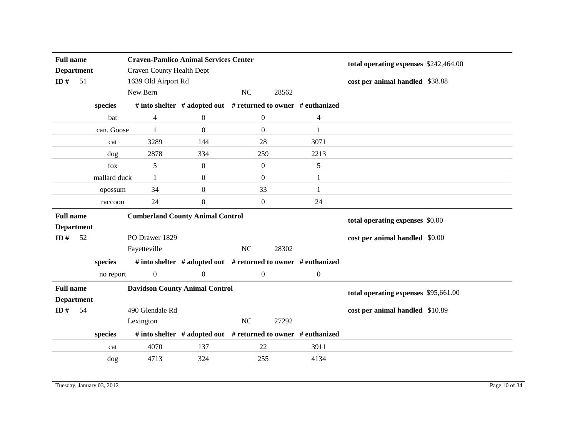| <b>Full name</b>  |                   |              | <b>Craven-Pamlico Animal Services Center</b> |                  |                                                               |                | total operating expenses \$242,464.00 |
|-------------------|-------------------|--------------|----------------------------------------------|------------------|---------------------------------------------------------------|----------------|---------------------------------------|
| <b>Department</b> |                   |              | <b>Craven County Health Dept</b>             |                  |                                                               |                |                                       |
| ID $#$            | 51                |              | 1639 Old Airport Rd                          |                  |                                                               |                | cost per animal handled \$38.88       |
|                   |                   |              | New Bern                                     |                  | <b>NC</b><br>28562                                            |                |                                       |
|                   |                   | species      |                                              |                  | # into shelter # adopted out # returned to owner # euthanized |                |                                       |
|                   |                   | bat          | 4                                            | $\boldsymbol{0}$ | $\boldsymbol{0}$                                              | 4              |                                       |
|                   |                   | can. Goose   | 1                                            | $\Omega$         | $\overline{0}$                                                | 1              |                                       |
|                   |                   | cat          | 3289                                         | 144              | 28                                                            | 3071           |                                       |
|                   |                   | dog          | 2878                                         | 334              | 259                                                           | 2213           |                                       |
|                   |                   | fox          | 5                                            | $\boldsymbol{0}$ | $\overline{0}$                                                | 5              |                                       |
|                   |                   | mallard duck | 1                                            | $\mathbf{0}$     | $\overline{0}$                                                | 1              |                                       |
|                   |                   | opossum      | 34                                           | $\mathbf{0}$     | 33                                                            | 1              |                                       |
|                   |                   | raccoon      | 24                                           | $\boldsymbol{0}$ | $\overline{0}$                                                | 24             |                                       |
|                   |                   |              |                                              |                  |                                                               |                |                                       |
| <b>Full name</b>  |                   |              | <b>Cumberland County Animal Control</b>      |                  |                                                               |                |                                       |
|                   | <b>Department</b> |              |                                              |                  |                                                               |                | total operating expenses \$0.00       |
| ID $#$            | 52                |              | PO Drawer 1829                               |                  |                                                               |                | cost per animal handled \$0.00        |
|                   |                   |              | Fayetteville                                 |                  | NC<br>28302                                                   |                |                                       |
|                   |                   | species      |                                              |                  | # into shelter # adopted out # returned to owner # euthanized |                |                                       |
|                   |                   | no report    | $\overline{0}$                               | $\boldsymbol{0}$ | $\overline{0}$                                                | $\overline{0}$ |                                       |
| <b>Full name</b>  |                   |              | <b>Davidson County Animal Control</b>        |                  |                                                               |                |                                       |
|                   | <b>Department</b> |              |                                              |                  |                                                               |                | total operating expenses \$95,661.00  |
| ID $#$            | 54                |              | 490 Glendale Rd                              |                  |                                                               |                | cost per animal handled \$10.89       |
|                   |                   |              | Lexington                                    |                  | NC<br>27292                                                   |                |                                       |
|                   |                   | species      |                                              |                  | # into shelter # adopted out # returned to owner # euthanized |                |                                       |
|                   |                   | cat          | 4070                                         | 137              | 22                                                            | 3911           |                                       |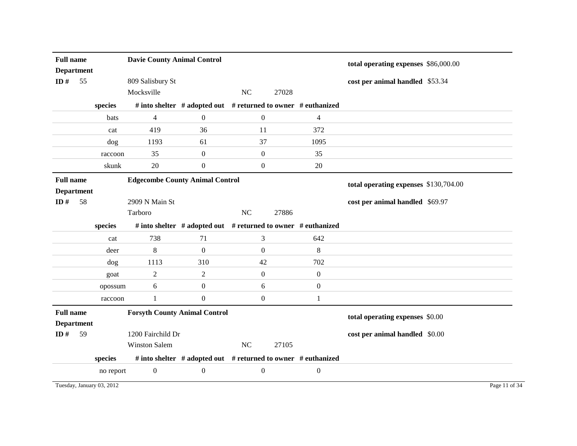| <b>Full name</b>  |           | <b>Davie County Animal Control</b>     |                                                               |                  |       |                  | total operating expenses \$86,000.00  |  |
|-------------------|-----------|----------------------------------------|---------------------------------------------------------------|------------------|-------|------------------|---------------------------------------|--|
| <b>Department</b> |           |                                        |                                                               |                  |       |                  |                                       |  |
| ID $#$<br>55      |           | 809 Salisbury St                       |                                                               |                  |       |                  | cost per animal handled \$53.34       |  |
|                   |           | Mocksville                             |                                                               | NC               | 27028 |                  |                                       |  |
|                   | species   |                                        | # into shelter # adopted out # returned to owner # euthanized |                  |       |                  |                                       |  |
|                   | bats      | $\overline{4}$                         | $\overline{0}$                                                | $\boldsymbol{0}$ |       | $\overline{4}$   |                                       |  |
|                   | cat       | 419                                    | 36                                                            | 11               |       | 372              |                                       |  |
|                   | $\log$    | 1193                                   | 61                                                            | 37               |       | 1095             |                                       |  |
|                   | raccoon   | 35                                     | $\boldsymbol{0}$                                              | $\boldsymbol{0}$ |       | 35               |                                       |  |
|                   | skunk     | 20                                     | $\boldsymbol{0}$                                              | $\boldsymbol{0}$ |       | 20               |                                       |  |
| <b>Full name</b>  |           | <b>Edgecombe County Animal Control</b> |                                                               |                  |       |                  | total operating expenses \$130,704.00 |  |
| <b>Department</b> |           |                                        |                                                               |                  |       |                  |                                       |  |
| ID#<br>58         |           | 2909 N Main St                         |                                                               |                  |       |                  | cost per animal handled \$69.97       |  |
|                   |           | Tarboro                                |                                                               | NC               | 27886 |                  |                                       |  |
|                   | species   |                                        | # into shelter # adopted out # returned to owner # euthanized |                  |       |                  |                                       |  |
|                   | cat       | 738                                    | 71                                                            | 3                |       | 642              |                                       |  |
|                   | deer      | 8                                      | $\mathbf{0}$                                                  | $\boldsymbol{0}$ |       | $\,8\,$          |                                       |  |
|                   | dog       | 1113                                   | 310                                                           | 42               |       | 702              |                                       |  |
|                   | goat      | $\mathbf{2}$                           | $\mathfrak{2}$                                                | $\overline{0}$   |       | $\boldsymbol{0}$ |                                       |  |
|                   | opossum   | 6                                      | $\boldsymbol{0}$                                              | 6                |       | $\boldsymbol{0}$ |                                       |  |
|                   | raccoon   | $\mathbf{1}$                           | $\boldsymbol{0}$                                              | $\boldsymbol{0}$ |       | 1                |                                       |  |
| <b>Full name</b>  |           | <b>Forsyth County Animal Control</b>   |                                                               |                  |       |                  | total operating expenses \$0.00       |  |
| <b>Department</b> |           |                                        |                                                               |                  |       |                  |                                       |  |
| 59<br>ID $#$      |           | 1200 Fairchild Dr                      |                                                               |                  |       |                  | cost per animal handled \$0.00        |  |
|                   |           | <b>Winston Salem</b>                   |                                                               | NC               | 27105 |                  |                                       |  |
|                   | species   |                                        | # into shelter # adopted out # returned to owner # euthanized |                  |       |                  |                                       |  |
|                   | no report | $\boldsymbol{0}$                       | $\boldsymbol{0}$                                              | $\boldsymbol{0}$ |       | $\boldsymbol{0}$ |                                       |  |

Tuesday, January 03, 2012 Page 11 of 34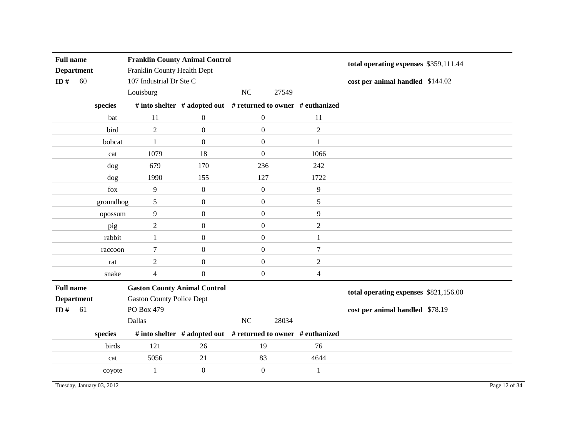| <b>Full name</b><br><b>Department</b><br>ID $#$<br>60 |           | <b>Franklin County Animal Control</b><br>Franklin County Health Dept<br>107 Industrial Dr Ste C<br>Louisburg |                  | NC               | 27549                                                         | total operating expenses \$359,111.44<br>cost per animal handled \$144.02 |
|-------------------------------------------------------|-----------|--------------------------------------------------------------------------------------------------------------|------------------|------------------|---------------------------------------------------------------|---------------------------------------------------------------------------|
|                                                       | species   |                                                                                                              |                  |                  | # into shelter # adopted out # returned to owner # euthanized |                                                                           |
|                                                       | bat       | 11                                                                                                           | $\boldsymbol{0}$ | $\boldsymbol{0}$ | 11                                                            |                                                                           |
|                                                       | bird      | $\overline{2}$                                                                                               | $\mathbf{0}$     | $\boldsymbol{0}$ | $\overline{2}$                                                |                                                                           |
|                                                       | bobcat    | $\mathbf{1}$                                                                                                 | $\boldsymbol{0}$ | $\boldsymbol{0}$ | 1                                                             |                                                                           |
|                                                       | cat       | 1079                                                                                                         | 18               | $\boldsymbol{0}$ | 1066                                                          |                                                                           |
|                                                       | dog       | 679                                                                                                          | 170              | 236              | 242                                                           |                                                                           |
|                                                       | dog       | 1990                                                                                                         | 155              | 127              | 1722                                                          |                                                                           |
|                                                       | fox       | 9                                                                                                            | $\boldsymbol{0}$ | $\boldsymbol{0}$ | 9                                                             |                                                                           |
|                                                       | groundhog | 5                                                                                                            | $\boldsymbol{0}$ | $\boldsymbol{0}$ | 5                                                             |                                                                           |
|                                                       | opossum   | 9                                                                                                            | $\boldsymbol{0}$ | $\boldsymbol{0}$ | 9                                                             |                                                                           |
|                                                       | pig       | $\overline{2}$                                                                                               | $\mathbf{0}$     | $\boldsymbol{0}$ | $\overline{2}$                                                |                                                                           |
|                                                       | rabbit    | $\mathbf{1}$                                                                                                 | $\boldsymbol{0}$ | $\boldsymbol{0}$ | 1                                                             |                                                                           |
|                                                       | raccoon   | 7                                                                                                            | $\boldsymbol{0}$ | $\boldsymbol{0}$ | 7                                                             |                                                                           |
|                                                       | rat       | $\boldsymbol{2}$                                                                                             | $\boldsymbol{0}$ | $\boldsymbol{0}$ | $\boldsymbol{2}$                                              |                                                                           |
|                                                       | snake     | $\overline{4}$                                                                                               | $\mathbf{0}$     | $\overline{0}$   | $\overline{4}$                                                |                                                                           |
| <b>Full name</b><br><b>Department</b>                 |           | <b>Gaston County Animal Control</b><br><b>Gaston County Police Dept</b>                                      |                  |                  |                                                               | total operating expenses \$821,156.00                                     |
| ID $#$<br>61                                          |           | PO Box 479                                                                                                   |                  |                  |                                                               | cost per animal handled \$78.19                                           |
|                                                       |           | Dallas                                                                                                       |                  | NC               | 28034                                                         |                                                                           |
|                                                       | species   |                                                                                                              |                  |                  | # into shelter # adopted out # returned to owner # euthanized |                                                                           |
|                                                       | birds     | 121                                                                                                          | 26               | 19               | 76                                                            |                                                                           |
|                                                       | cat       | 5056                                                                                                         | 21               | 83               | 4644                                                          |                                                                           |
|                                                       | coyote    | $\mathbf{1}$                                                                                                 | $\boldsymbol{0}$ | $\boldsymbol{0}$ | $\mathbf{1}$                                                  |                                                                           |

Tuesday, January 03, 2012 Page 12 of 34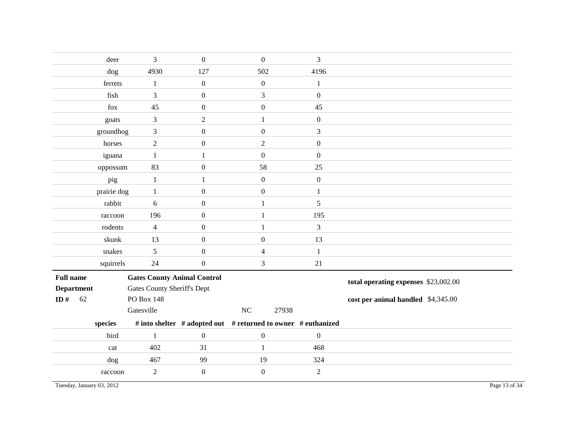|                           | deer        | 3                                  | $\boldsymbol{0}$ | $\boldsymbol{0}$                                              | 3                |                                      |
|---------------------------|-------------|------------------------------------|------------------|---------------------------------------------------------------|------------------|--------------------------------------|
|                           | dog         | 4930                               | 127              | 502                                                           | 4196             |                                      |
|                           | ferrets     | $\mathbf{1}$                       | $\boldsymbol{0}$ | $\boldsymbol{0}$                                              | 1                |                                      |
|                           | fish        | 3                                  | $\boldsymbol{0}$ | $\overline{3}$                                                | $\boldsymbol{0}$ |                                      |
|                           | fox         | 45                                 | $\boldsymbol{0}$ | $\boldsymbol{0}$                                              | 45               |                                      |
|                           | goats       | $\mathfrak{Z}$                     | $\overline{2}$   | 1                                                             | $\boldsymbol{0}$ |                                      |
|                           | groundhog   | 3                                  | $\boldsymbol{0}$ | $\overline{0}$                                                | 3                |                                      |
|                           | horses      | $\sqrt{2}$                         | $\boldsymbol{0}$ | $\overline{2}$                                                | $\boldsymbol{0}$ |                                      |
|                           | iguana      | $\mathbf{1}$                       | 1                | $\mathbf{0}$                                                  | $\overline{0}$   |                                      |
|                           | oppossum    | 83                                 | $\boldsymbol{0}$ | 58                                                            | 25               |                                      |
|                           | pig         | $\mathbf{1}$                       | $\mathbf{1}$     | $\mathbf{0}$                                                  | $\boldsymbol{0}$ |                                      |
|                           | prairie dog | $\mathbf{1}$                       | $\boldsymbol{0}$ | $\boldsymbol{0}$                                              | 1                |                                      |
|                           | rabbit      | 6                                  | $\boldsymbol{0}$ | 1                                                             | 5                |                                      |
|                           | raccoon     | 196                                | $\boldsymbol{0}$ | 1                                                             | 195              |                                      |
|                           | rodents     | $\overline{4}$                     | $\boldsymbol{0}$ | $\mathbf{1}$                                                  | 3                |                                      |
|                           | skunk       | 13                                 | $\boldsymbol{0}$ | $\overline{0}$                                                | 13               |                                      |
|                           | snakes      | 5                                  | $\boldsymbol{0}$ | 4                                                             | $\mathbf{1}$     |                                      |
|                           | squirrels   | 24                                 | $\boldsymbol{0}$ | 3                                                             | $21\,$           |                                      |
| <b>Full name</b>          |             | <b>Gates County Animal Control</b> |                  |                                                               |                  | total operating expenses \$23,002.00 |
| <b>Department</b>         |             | <b>Gates County Sheriff's Dept</b> |                  |                                                               |                  |                                      |
| ID#<br>62                 |             | PO Box 148                         |                  |                                                               |                  | cost per animal handled \$4,345.00   |
|                           |             | Gatesville                         |                  | NC<br>27938                                                   |                  |                                      |
|                           | species     |                                    |                  | # into shelter # adopted out # returned to owner # euthanized |                  |                                      |
|                           | bird        | $\mathbf{1}$                       | $\boldsymbol{0}$ | $\boldsymbol{0}$                                              | $\boldsymbol{0}$ |                                      |
|                           | cat         | 402                                | 31               | $\mathbf{1}$                                                  | 468              |                                      |
|                           | dog         | 467                                | 99               | 19                                                            | 324              |                                      |
|                           | raccoon     | $\overline{2}$                     | $\boldsymbol{0}$ | $\boldsymbol{0}$                                              | $\overline{2}$   |                                      |
| Tuesday, January 03, 2012 |             |                                    |                  |                                                               |                  | Page 13 of 34                        |
|                           |             |                                    |                  |                                                               |                  |                                      |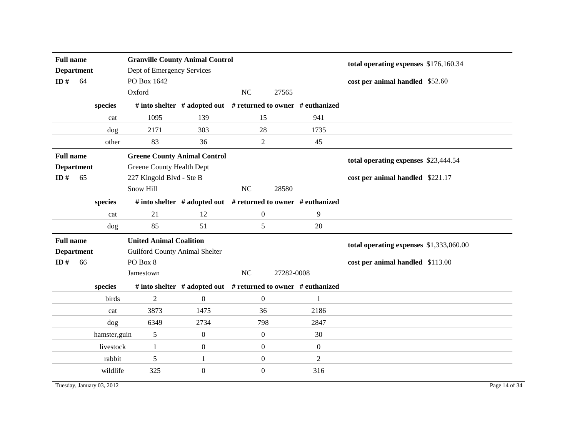| <b>Full name</b><br><b>Department</b><br>ID#<br>64 |               | <b>Granville County Animal Control</b><br>Dept of Emergency Services<br>PO Box 1642          |                                                               |                  |            |                  | total operating expenses \$176,160.34<br>cost per animal handled \$52.60 |               |
|----------------------------------------------------|---------------|----------------------------------------------------------------------------------------------|---------------------------------------------------------------|------------------|------------|------------------|--------------------------------------------------------------------------|---------------|
|                                                    |               | Oxford                                                                                       |                                                               | NC               | 27565      |                  |                                                                          |               |
|                                                    | species       |                                                                                              | # into shelter # adopted out # returned to owner # euthanized |                  |            |                  |                                                                          |               |
|                                                    | cat           | 1095                                                                                         | 139                                                           | 15               |            | 941              |                                                                          |               |
|                                                    | dog           | 2171                                                                                         | 303                                                           | 28               |            | 1735             |                                                                          |               |
|                                                    | other         | 83                                                                                           | 36                                                            | $\overline{2}$   |            | 45               |                                                                          |               |
| <b>Full name</b><br><b>Department</b><br>ID#<br>65 |               | <b>Greene County Animal Control</b><br>Greene County Health Dept<br>227 Kingold Blvd - Ste B |                                                               |                  |            |                  | total operating expenses \$23,444.54<br>cost per animal handled \$221.17 |               |
|                                                    |               | Snow Hill                                                                                    |                                                               | NC               | 28580      |                  |                                                                          |               |
|                                                    | species       |                                                                                              | # into shelter # adopted out # returned to owner # euthanized |                  |            |                  |                                                                          |               |
|                                                    | cat           | 21                                                                                           | 12                                                            | $\overline{0}$   |            | 9                |                                                                          |               |
|                                                    | dog           | 85                                                                                           | 51                                                            | 5                |            | 20               |                                                                          |               |
| <b>Full name</b>                                   |               | <b>United Animal Coalition</b>                                                               |                                                               |                  |            |                  | total operating expenses \$1,333,060.00                                  |               |
| <b>Department</b>                                  |               | <b>Guilford County Animal Shelter</b>                                                        |                                                               |                  |            |                  |                                                                          |               |
| ID#<br>66                                          |               | PO Box 8                                                                                     |                                                               |                  |            |                  | cost per animal handled \$113.00                                         |               |
|                                                    |               | Jamestown                                                                                    |                                                               | NC               | 27282-0008 |                  |                                                                          |               |
|                                                    | species       |                                                                                              | # into shelter # adopted out # returned to owner # euthanized |                  |            |                  |                                                                          |               |
|                                                    | birds         | $\overline{2}$                                                                               | $\boldsymbol{0}$                                              | $\boldsymbol{0}$ |            | $\mathbf{1}$     |                                                                          |               |
|                                                    | cat           | 3873                                                                                         | 1475                                                          | 36               |            | 2186             |                                                                          |               |
|                                                    | dog           | 6349                                                                                         | 2734                                                          | 798              |            | 2847             |                                                                          |               |
|                                                    | hamster, guin | 5                                                                                            | $\boldsymbol{0}$                                              | $\overline{0}$   |            | 30               |                                                                          |               |
|                                                    | livestock     | $\mathbf{1}$                                                                                 | $\mathbf{0}$                                                  | $\overline{0}$   |            | $\boldsymbol{0}$ |                                                                          |               |
|                                                    | rabbit        | 5                                                                                            | $\mathbf{1}$                                                  | $\boldsymbol{0}$ |            | $\overline{c}$   |                                                                          |               |
|                                                    | wildlife      | 325                                                                                          | $\boldsymbol{0}$                                              | $\overline{0}$   |            | 316              |                                                                          |               |
| Tuesday, January 03, 2012                          |               |                                                                                              |                                                               |                  |            |                  |                                                                          | Page 14 of 34 |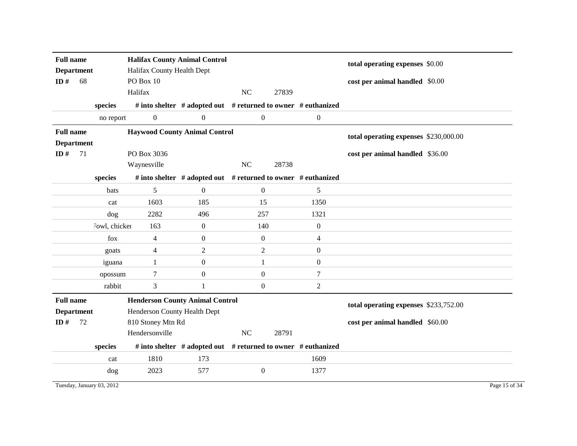| <b>Full name</b>            |    |               | <b>Halifax County Animal Control</b>                 |                                                               |                  |                                       |                  | total operating expenses \$0.00       |
|-----------------------------|----|---------------|------------------------------------------------------|---------------------------------------------------------------|------------------|---------------------------------------|------------------|---------------------------------------|
| <b>Department</b><br>ID $#$ | 68 |               | Halifax County Health Dept<br>PO Box 10              |                                                               |                  |                                       |                  |                                       |
|                             |    |               | Halifax                                              |                                                               | <b>NC</b>        | 27839                                 |                  | cost per animal handled \$0.00        |
|                             |    |               |                                                      |                                                               |                  |                                       |                  |                                       |
|                             |    | species       |                                                      | # into shelter # adopted out # returned to owner # euthanized |                  |                                       |                  |                                       |
|                             |    | no report     | $\boldsymbol{0}$<br>$\boldsymbol{0}$<br>$\mathbf{0}$ |                                                               |                  |                                       | $\boldsymbol{0}$ |                                       |
| <b>Full name</b>            |    |               | <b>Haywood County Animal Control</b>                 |                                                               |                  | total operating expenses \$230,000.00 |                  |                                       |
| <b>Department</b>           |    |               |                                                      |                                                               |                  |                                       |                  |                                       |
| ID#                         | 71 |               | PO Box 3036                                          |                                                               |                  |                                       |                  | cost per animal handled \$36.00       |
|                             |    |               | Waynesville                                          |                                                               | NC               | 28738                                 |                  |                                       |
|                             |    | species       |                                                      | # into shelter # adopted out # returned to owner # euthanized |                  |                                       |                  |                                       |
|                             |    | bats          | 5                                                    | $\overline{0}$                                                | $\mathbf{0}$     |                                       | 5                |                                       |
|                             |    | cat           | 1603                                                 | 185                                                           | 15               |                                       | 1350             |                                       |
|                             |    | dog           | 2282                                                 | 496                                                           | 257              |                                       | 1321             |                                       |
|                             |    | Fowl, chicker | 163                                                  | $\boldsymbol{0}$                                              | 140              |                                       | $\boldsymbol{0}$ |                                       |
|                             |    | $f$ ox        | $\overline{4}$                                       | $\overline{0}$                                                | $\overline{0}$   |                                       | 4                |                                       |
|                             |    | goats         | $\overline{4}$                                       | 2                                                             | $\overline{2}$   |                                       | $\mathbf{0}$     |                                       |
|                             |    | iguana        | 1                                                    | $\boldsymbol{0}$                                              | $\mathbf{1}$     |                                       | $\mathbf{0}$     |                                       |
|                             |    | opossum       | $\tau$                                               | $\boldsymbol{0}$                                              | $\boldsymbol{0}$ |                                       | $\boldsymbol{7}$ |                                       |
|                             |    | rabbit        | 3                                                    | 1                                                             | $\overline{0}$   |                                       | 2                |                                       |
| <b>Full name</b>            |    |               | <b>Henderson County Animal Control</b>               |                                                               |                  |                                       |                  | total operating expenses \$233,752.00 |
| <b>Department</b>           |    |               | Henderson County Health Dept                         |                                                               |                  |                                       |                  |                                       |
| ID $#$                      | 72 |               | 810 Stoney Mtn Rd                                    |                                                               |                  |                                       |                  | cost per animal handled \$60.00       |
|                             |    |               | Hendersonville                                       |                                                               | NC               | 28791                                 |                  |                                       |
|                             |    | species       |                                                      | # into shelter # adopted out # returned to owner # euthanized |                  |                                       |                  |                                       |
|                             |    | cat           | 1810                                                 | 173                                                           |                  |                                       | 1609             |                                       |
|                             |    | dog           | 2023                                                 | 577                                                           | $\boldsymbol{0}$ |                                       | 1377             |                                       |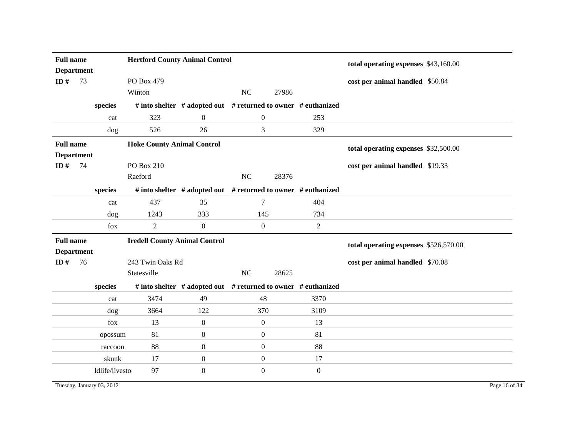| <b>Full name</b><br><b>Department</b> |                |                                      | <b>Hertford County Animal Control</b>                               |                  |       |                  | total operating expenses \$43,160.00  |  |
|---------------------------------------|----------------|--------------------------------------|---------------------------------------------------------------------|------------------|-------|------------------|---------------------------------------|--|
| ID $#$<br>73                          |                | PO Box 479                           |                                                                     |                  |       |                  | cost per animal handled \$50.84       |  |
|                                       |                | Winton                               |                                                                     | NC               | 27986 |                  |                                       |  |
|                                       | species        |                                      | # into shelter # adopted out # returned to owner # euthanized       |                  |       |                  |                                       |  |
|                                       | cat            | 323                                  | $\overline{0}$                                                      | $\overline{0}$   |       | 253              |                                       |  |
|                                       | dog            | 526                                  | 26                                                                  | 3                |       | 329              |                                       |  |
| <b>Full name</b>                      |                | <b>Hoke County Animal Control</b>    |                                                                     |                  |       |                  | total operating expenses \$32,500.00  |  |
| <b>Department</b>                     |                |                                      |                                                                     |                  |       |                  |                                       |  |
| ID#<br>74                             |                | PO Box 210                           |                                                                     |                  |       |                  | cost per animal handled \$19.33       |  |
|                                       |                | Raeford                              |                                                                     | NC               | 28376 |                  |                                       |  |
|                                       | species        |                                      | # into shelter $#$ adopted out $#$ returned to owner $#$ euthanized |                  |       |                  |                                       |  |
|                                       | cat            | 437                                  | 35                                                                  | 7                |       | 404              |                                       |  |
|                                       | dog            | 1243                                 | 333                                                                 | 145              |       | 734              |                                       |  |
|                                       | fox            | $\overline{2}$                       | $\boldsymbol{0}$                                                    | $\boldsymbol{0}$ |       | $\overline{2}$   |                                       |  |
| <b>Full name</b>                      |                | <b>Iredell County Animal Control</b> |                                                                     |                  |       |                  | total operating expenses \$526,570.00 |  |
| <b>Department</b>                     |                |                                      |                                                                     |                  |       |                  |                                       |  |
| ID#<br>76                             |                | 243 Twin Oaks Rd                     |                                                                     |                  |       |                  | cost per animal handled \$70.08       |  |
|                                       |                | Statesville                          |                                                                     | NC               | 28625 |                  |                                       |  |
|                                       | species        |                                      | # into shelter # adopted out # returned to owner # euthanized       |                  |       |                  |                                       |  |
|                                       | cat            | 3474                                 | 49                                                                  | 48               |       | 3370             |                                       |  |
|                                       | dog            | 3664                                 | 122                                                                 | 370              |       | 3109             |                                       |  |
|                                       | fox            | 13                                   | $\boldsymbol{0}$                                                    | $\boldsymbol{0}$ |       | 13               |                                       |  |
|                                       |                |                                      |                                                                     |                  |       |                  |                                       |  |
|                                       | opossum        | 81                                   | $\boldsymbol{0}$                                                    | $\overline{0}$   |       | 81               |                                       |  |
|                                       | raccoon        | 88                                   | $\boldsymbol{0}$                                                    | $\overline{0}$   |       | 88               |                                       |  |
|                                       | skunk          | 17                                   | $\boldsymbol{0}$                                                    | $\boldsymbol{0}$ |       | 17               |                                       |  |
|                                       | ldlife/livesto | 97                                   | $\overline{0}$                                                      | $\Omega$         |       | $\boldsymbol{0}$ |                                       |  |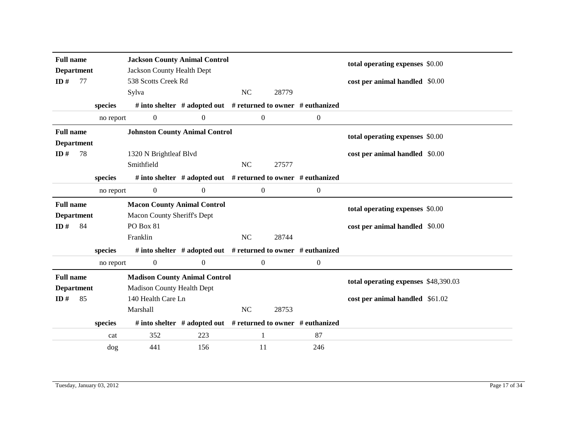|                   | <b>Full name</b><br><b>Department</b> |           | <b>Jackson County Animal Control</b>  |                                                                     |                  |       |                  | total operating expenses \$0.00      |  |
|-------------------|---------------------------------------|-----------|---------------------------------------|---------------------------------------------------------------------|------------------|-------|------------------|--------------------------------------|--|
|                   |                                       |           | Jackson County Health Dept            |                                                                     |                  |       |                  |                                      |  |
| ID#               | 77                                    |           | 538 Scotts Creek Rd                   |                                                                     |                  |       |                  | cost per animal handled \$0.00       |  |
|                   |                                       |           | Sylva                                 |                                                                     | NC               | 28779 |                  |                                      |  |
|                   |                                       | species   |                                       | # into shelter $#$ adopted out $#$ returned to owner $#$ euthanized |                  |       |                  |                                      |  |
|                   |                                       | no report | $\overline{0}$                        | $\boldsymbol{0}$                                                    | $\boldsymbol{0}$ |       | $\boldsymbol{0}$ |                                      |  |
| <b>Full name</b>  |                                       |           | <b>Johnston County Animal Control</b> |                                                                     |                  |       |                  | total operating expenses \$0.00      |  |
| <b>Department</b> |                                       |           |                                       |                                                                     |                  |       |                  |                                      |  |
| ID $#$            | 78                                    |           | 1320 N Brightleaf Blvd                |                                                                     |                  |       |                  | cost per animal handled \$0.00       |  |
|                   |                                       |           | Smithfield                            |                                                                     | <b>NC</b>        | 27577 |                  |                                      |  |
|                   |                                       | species   |                                       | # into shelter # adopted out # returned to owner # euthanized       |                  |       |                  |                                      |  |
|                   |                                       | no report | $\boldsymbol{0}$                      | $\boldsymbol{0}$                                                    | $\boldsymbol{0}$ |       | $\boldsymbol{0}$ |                                      |  |
| <b>Full name</b>  |                                       |           | <b>Macon County Animal Control</b>    |                                                                     |                  |       |                  | total operating expenses \$0.00      |  |
| <b>Department</b> |                                       |           | <b>Macon County Sheriff's Dept</b>    |                                                                     |                  |       |                  |                                      |  |
| ID#               | 84                                    |           | PO Box 81                             |                                                                     |                  |       |                  | cost per animal handled \$0.00       |  |
|                   |                                       |           | Franklin                              |                                                                     | NC               | 28744 |                  |                                      |  |
|                   |                                       | species   |                                       | # into shelter # adopted out # returned to owner # euthanized       |                  |       |                  |                                      |  |
|                   |                                       | no report | $\overline{0}$                        | $\boldsymbol{0}$                                                    | $\overline{0}$   |       | $\boldsymbol{0}$ |                                      |  |
| <b>Full name</b>  |                                       |           | <b>Madison County Animal Control</b>  |                                                                     |                  |       |                  | total operating expenses \$48,390.03 |  |
| <b>Department</b> |                                       |           | <b>Madison County Health Dept</b>     |                                                                     |                  |       |                  |                                      |  |
| ID $#$            | 85                                    |           | 140 Health Care Ln                    |                                                                     |                  |       |                  | cost per animal handled \$61.02      |  |
|                   |                                       |           | Marshall                              |                                                                     | <b>NC</b>        | 28753 |                  |                                      |  |
|                   |                                       | species   |                                       | # into shelter # adopted out # returned to owner # euthanized       |                  |       |                  |                                      |  |
|                   |                                       | cat       | 352                                   | 223                                                                 | 1                |       | 87               |                                      |  |
|                   |                                       | dog       | 441                                   | 156                                                                 | 11               |       | 246              |                                      |  |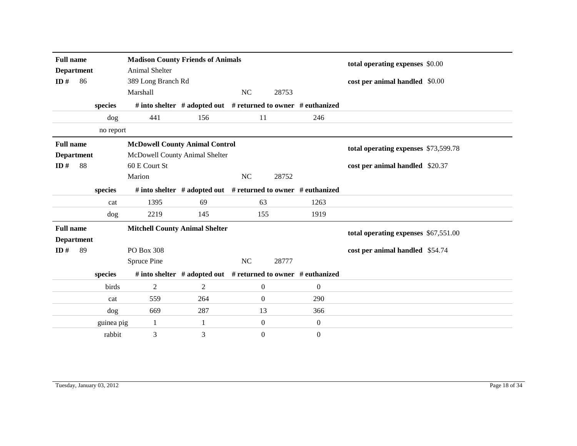| ID#                                   | <b>Full name</b><br><b>Department</b><br>86<br>species                |           | <b>Madison County Friends of Animals</b><br>Animal Shelter<br>389 Long Branch Rd<br>NC<br>Marshall<br>28753<br># into shelter # adopted out # returned to owner # euthanized |                                                               |                  |       |                | total operating expenses \$0.00<br>cost per animal handled \$0.00 |  |
|---------------------------------------|-----------------------------------------------------------------------|-----------|------------------------------------------------------------------------------------------------------------------------------------------------------------------------------|---------------------------------------------------------------|------------------|-------|----------------|-------------------------------------------------------------------|--|
|                                       |                                                                       |           |                                                                                                                                                                              |                                                               |                  |       |                |                                                                   |  |
|                                       |                                                                       | dog       | 441                                                                                                                                                                          | 156                                                           | 11               |       | 246            |                                                                   |  |
|                                       |                                                                       | no report |                                                                                                                                                                              |                                                               |                  |       |                |                                                                   |  |
| <b>Full name</b>                      |                                                                       |           | <b>McDowell County Animal Control</b>                                                                                                                                        | total operating expenses \$73,599.78                          |                  |       |                |                                                                   |  |
| <b>Department</b>                     |                                                                       |           | McDowell County Animal Shelter                                                                                                                                               |                                                               |                  |       |                |                                                                   |  |
| ID#                                   | 88                                                                    |           | 60 E Court St                                                                                                                                                                |                                                               |                  |       |                | cost per animal handled \$20.37                                   |  |
|                                       |                                                                       |           | Marion                                                                                                                                                                       |                                                               | NC               | 28752 |                |                                                                   |  |
|                                       |                                                                       | species   |                                                                                                                                                                              | # into shelter # adopted out # returned to owner # euthanized |                  |       |                |                                                                   |  |
|                                       |                                                                       | cat       | 1395                                                                                                                                                                         | 69                                                            | 63               |       | 1263           |                                                                   |  |
|                                       |                                                                       | dog       | 2219                                                                                                                                                                         | 145                                                           | 155              |       | 1919           |                                                                   |  |
| <b>Full name</b><br><b>Department</b> |                                                                       |           | <b>Mitchell County Animal Shelter</b>                                                                                                                                        |                                                               |                  |       |                | total operating expenses \$67,551.00                              |  |
| ID $#$                                | 89                                                                    |           | PO Box 308                                                                                                                                                                   |                                                               |                  |       |                | cost per animal handled \$54.74                                   |  |
|                                       |                                                                       |           | Spruce Pine                                                                                                                                                                  |                                                               | NC               | 28777 |                |                                                                   |  |
|                                       |                                                                       | species   |                                                                                                                                                                              | # into shelter # adopted out # returned to owner # euthanized |                  |       |                |                                                                   |  |
|                                       |                                                                       | birds     | 2                                                                                                                                                                            | 2                                                             | $\boldsymbol{0}$ |       | $\overline{0}$ |                                                                   |  |
|                                       |                                                                       | cat       | 559                                                                                                                                                                          | 264                                                           | $\overline{0}$   |       | 290            |                                                                   |  |
|                                       |                                                                       | dog       | 669                                                                                                                                                                          | 287                                                           | 13               |       | 366            |                                                                   |  |
|                                       | $\boldsymbol{0}$<br>$\overline{0}$<br>$\mathbf{1}$<br>guinea pig<br>1 |           |                                                                                                                                                                              |                                                               |                  |       |                |                                                                   |  |
|                                       |                                                                       | rabbit    | 3                                                                                                                                                                            | 3                                                             | $\overline{0}$   |       | $\theta$       |                                                                   |  |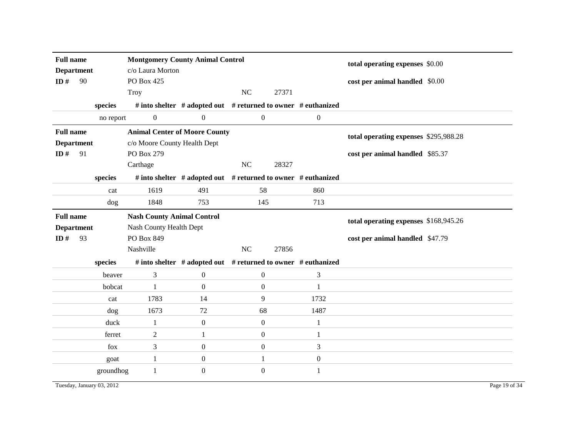| <b>Full name</b><br><b>Department</b> |    |                           | <b>Montgomery County Animal Control</b><br>c/o Laura Morton |                  |                  |                                                                     | total operating expenses \$0.00       |               |
|---------------------------------------|----|---------------------------|-------------------------------------------------------------|------------------|------------------|---------------------------------------------------------------------|---------------------------------------|---------------|
| ID#                                   | 90 |                           | PO Box 425                                                  |                  |                  | 27371                                                               | cost per animal handled \$0.00        |               |
|                                       |    |                           | <b>Troy</b>                                                 |                  | NC               |                                                                     |                                       |               |
|                                       |    | species                   |                                                             |                  |                  | # into shelter # adopted out # returned to owner # euthanized       |                                       |               |
|                                       |    | no report                 | $\boldsymbol{0}$                                            | $\boldsymbol{0}$ | $\overline{0}$   | $\boldsymbol{0}$                                                    |                                       |               |
| <b>Full name</b>                      |    |                           | <b>Animal Center of Moore County</b>                        |                  |                  |                                                                     | total operating expenses \$295,988.28 |               |
| <b>Department</b>                     |    |                           | c/o Moore County Health Dept                                |                  |                  |                                                                     |                                       |               |
| ID#                                   | 91 |                           | PO Box 279                                                  |                  |                  |                                                                     | cost per animal handled \$85.37       |               |
|                                       |    |                           | Carthage                                                    |                  | $\rm NC$         | 28327                                                               |                                       |               |
|                                       |    | species                   |                                                             |                  |                  | # into shelter $#$ adopted out $#$ returned to owner $#$ euthanized |                                       |               |
|                                       |    | cat                       | 1619                                                        | 491              | 58               | 860                                                                 |                                       |               |
|                                       |    | dog                       | 1848                                                        | 753              | 145              | 713                                                                 |                                       |               |
| <b>Full name</b>                      |    |                           | <b>Nash County Animal Control</b>                           |                  |                  |                                                                     |                                       |               |
| <b>Department</b>                     |    |                           | Nash County Health Dept                                     |                  |                  |                                                                     | total operating expenses \$168,945.26 |               |
| ID $#$                                | 93 |                           | PO Box 849                                                  |                  |                  |                                                                     | cost per animal handled \$47.79       |               |
|                                       |    |                           | Nashville                                                   |                  | NC               | 27856                                                               |                                       |               |
|                                       |    | species                   |                                                             |                  |                  | # into shelter # adopted out # returned to owner # euthanized       |                                       |               |
|                                       |    | beaver                    | 3                                                           | $\boldsymbol{0}$ | $\mathbf{0}$     | 3                                                                   |                                       |               |
|                                       |    | bobcat                    | $\mathbf{1}$                                                | $\boldsymbol{0}$ | $\boldsymbol{0}$ | 1                                                                   |                                       |               |
|                                       |    | cat                       | 1783                                                        | 14               | 9                | 1732                                                                |                                       |               |
|                                       |    | dog                       | 1673                                                        | 72               | 68               | 1487                                                                |                                       |               |
|                                       |    | duck                      | $\mathbf{1}$                                                | $\boldsymbol{0}$ | $\mathbf{0}$     | 1                                                                   |                                       |               |
|                                       |    | ferret                    | $\overline{2}$                                              | $\mathbf{1}$     | $\overline{0}$   | $\mathbf{1}$                                                        |                                       |               |
|                                       |    | fox                       | 3                                                           | $\mathbf{0}$     | $\overline{0}$   | 3                                                                   |                                       |               |
|                                       |    | goat                      | $\mathbf{1}$                                                | $\boldsymbol{0}$ | 1                | $\boldsymbol{0}$                                                    |                                       |               |
|                                       |    | groundhog                 | $\mathbf{1}$                                                | $\boldsymbol{0}$ | $\overline{0}$   | 1                                                                   |                                       |               |
|                                       |    | Tuesday, January 03, 2012 |                                                             |                  |                  |                                                                     |                                       | Page 19 of 34 |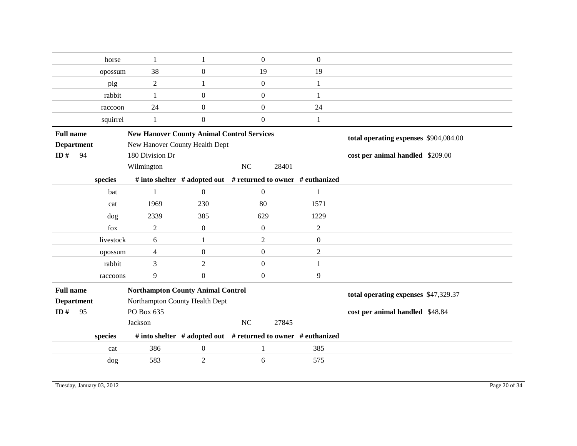|                   | horse     | 1                                                 | 1                | $\mathbf{0}$                                                  | $\boldsymbol{0}$ |                                      |
|-------------------|-----------|---------------------------------------------------|------------------|---------------------------------------------------------------|------------------|--------------------------------------|
|                   | opossum   | 38                                                | $\mathbf{0}$     | 19                                                            | 19               |                                      |
|                   | pig       | $\overline{2}$                                    |                  | $\boldsymbol{0}$                                              | 1                |                                      |
|                   | rabbit    | 1                                                 | $\mathbf{0}$     | $\overline{0}$                                                | 1                |                                      |
|                   | raccoon   | 24                                                | $\boldsymbol{0}$ | $\boldsymbol{0}$                                              | 24               |                                      |
|                   | squirrel  | $\mathbf{1}$                                      | $\boldsymbol{0}$ | $\mathbf{0}$                                                  | 1                |                                      |
| <b>Full name</b>  |           | <b>New Hanover County Animal Control Services</b> |                  | total operating expenses \$904,084.00                         |                  |                                      |
| <b>Department</b> |           | New Hanover County Health Dept                    |                  |                                                               |                  |                                      |
| ID#               | 94        | 180 Division Dr                                   |                  |                                                               |                  | cost per animal handled \$209.00     |
|                   |           | Wilmington                                        |                  | NC<br>28401                                                   |                  |                                      |
|                   | species   |                                                   |                  | # into shelter # adopted out # returned to owner # euthanized |                  |                                      |
|                   | bat       | 1                                                 | $\Omega$         | $\mathbf{0}$                                                  | 1                |                                      |
|                   | cat       | 1969                                              | 230              | 80                                                            | 1571             |                                      |
|                   | dog       | 2339                                              | 385              | 629                                                           | 1229             |                                      |
|                   | fox       | 2                                                 | $\overline{0}$   | $\mathbf{0}$                                                  | 2                |                                      |
|                   | livestock | 6                                                 | $\mathbf{1}$     | $\overline{2}$                                                | $\boldsymbol{0}$ |                                      |
|                   | opossum   | 4                                                 | $\Omega$         | $\overline{0}$                                                | $\overline{2}$   |                                      |
|                   | rabbit    | 3                                                 | $\overline{c}$   | $\overline{0}$                                                | 1                |                                      |
|                   | raccoons  | 9                                                 | $\boldsymbol{0}$ | $\boldsymbol{0}$                                              | 9                |                                      |
| <b>Full name</b>  |           | <b>Northampton County Animal Control</b>          |                  |                                                               |                  | total operating expenses \$47,329.37 |
| <b>Department</b> |           | Northampton County Health Dept                    |                  |                                                               |                  |                                      |
| ID $#$            | 95        | PO Box 635                                        |                  |                                                               |                  | cost per animal handled \$48.84      |
|                   |           | Jackson                                           |                  | NC<br>27845                                                   |                  |                                      |
|                   | species   |                                                   |                  | # into shelter # adopted out # returned to owner # euthanized |                  |                                      |
|                   | cat       | 386                                               | $\boldsymbol{0}$ | $\mathbf{1}$                                                  | 385              |                                      |
|                   | dog       | 583                                               | 2                | 6                                                             | 575              |                                      |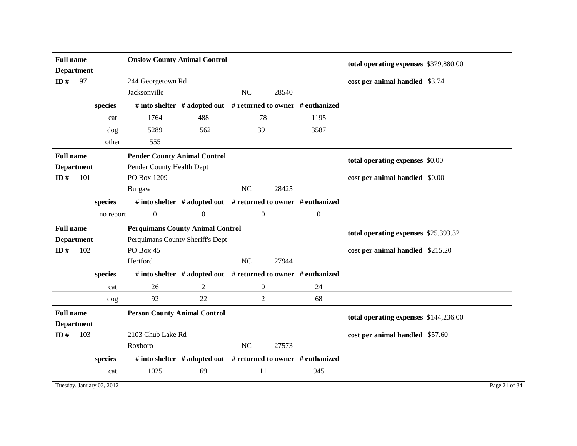| <b>Full name</b><br><b>Department</b> |     |           | <b>Onslow County Animal Control</b>     |                                                               |                  |       |                                 | total operating expenses \$379,880.00 |  |
|---------------------------------------|-----|-----------|-----------------------------------------|---------------------------------------------------------------|------------------|-------|---------------------------------|---------------------------------------|--|
| ID#                                   | 97  |           | 244 Georgetown Rd                       |                                                               |                  |       |                                 | cost per animal handled \$3.74        |  |
|                                       |     |           | Jacksonville                            |                                                               | NC               | 28540 |                                 |                                       |  |
|                                       |     | species   |                                         | # into shelter # adopted out # returned to owner # euthanized |                  |       |                                 |                                       |  |
|                                       |     | cat       | 1764                                    | 488                                                           | 78               |       | 1195                            |                                       |  |
|                                       |     | dog       | 5289                                    | 1562                                                          | 391              |       | 3587                            |                                       |  |
|                                       |     | other     | 555                                     |                                                               |                  |       |                                 |                                       |  |
| <b>Full name</b>                      |     |           | <b>Pender County Animal Control</b>     |                                                               |                  |       | total operating expenses \$0.00 |                                       |  |
| <b>Department</b>                     |     |           | Pender County Health Dept               |                                                               |                  |       |                                 |                                       |  |
| ID $#$                                | 101 |           | PO Box 1209                             |                                                               |                  |       |                                 | cost per animal handled \$0.00        |  |
|                                       |     |           | Burgaw                                  |                                                               | NC               | 28425 |                                 |                                       |  |
|                                       |     | species   |                                         | # into shelter # adopted out # returned to owner # euthanized |                  |       |                                 |                                       |  |
|                                       |     | no report | $\overline{0}$                          | $\boldsymbol{0}$                                              | $\overline{0}$   |       | $\boldsymbol{0}$                |                                       |  |
|                                       |     |           |                                         |                                                               |                  |       |                                 |                                       |  |
| <b>Full name</b>                      |     |           | <b>Perquimans County Animal Control</b> |                                                               |                  |       |                                 |                                       |  |
| <b>Department</b>                     |     |           | Perquimans County Sheriff's Dept        |                                                               |                  |       |                                 | total operating expenses \$25,393.32  |  |
| ID#                                   | 102 |           | PO Box 45                               |                                                               |                  |       |                                 | cost per animal handled \$215.20      |  |
|                                       |     |           | Hertford                                |                                                               | <b>NC</b>        | 27944 |                                 |                                       |  |
|                                       |     | species   |                                         | # into shelter # adopted out # returned to owner # euthanized |                  |       |                                 |                                       |  |
|                                       |     | cat       | 26                                      | 2                                                             | $\boldsymbol{0}$ |       | 24                              |                                       |  |
|                                       |     | dog       | 92                                      | 22                                                            | $\overline{2}$   |       | 68                              |                                       |  |
| <b>Full name</b>                      |     |           | <b>Person County Animal Control</b>     |                                                               |                  |       |                                 |                                       |  |
| <b>Department</b>                     |     |           |                                         |                                                               |                  |       |                                 | total operating expenses \$144,236.00 |  |
| ID $#$                                | 103 |           | 2103 Chub Lake Rd                       |                                                               |                  |       |                                 | cost per animal handled \$57.60       |  |
|                                       |     |           | Roxboro                                 |                                                               | NC               | 27573 |                                 |                                       |  |
|                                       |     | species   |                                         | # into shelter # adopted out # returned to owner # euthanized |                  |       |                                 |                                       |  |

Tuesday, January 03, 2012 Page 21 of 34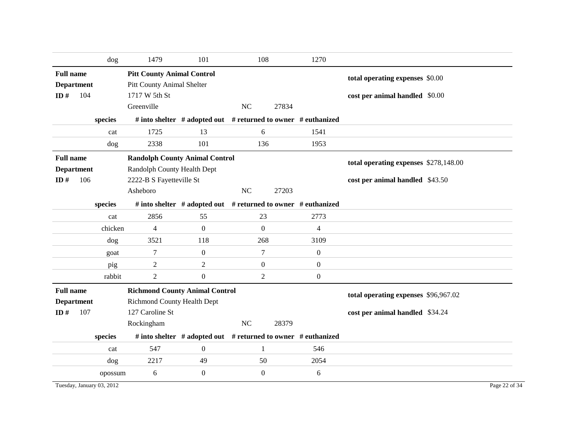|                  |                           | dog     | 1479                                                                 | 101              | 108              | 1270                                                          |                                       |
|------------------|---------------------------|---------|----------------------------------------------------------------------|------------------|------------------|---------------------------------------------------------------|---------------------------------------|
| <b>Full name</b> |                           |         | <b>Pitt County Animal Control</b>                                    |                  |                  |                                                               | total operating expenses \$0.00       |
|                  | <b>Department</b>         |         | Pitt County Animal Shelter                                           |                  |                  |                                                               |                                       |
| ID#              | 104                       |         | 1717 W 5th St                                                        |                  |                  |                                                               | cost per animal handled \$0.00        |
|                  |                           |         | Greenville                                                           |                  | NC               | 27834                                                         |                                       |
|                  |                           | species |                                                                      |                  |                  | # into shelter # adopted out # returned to owner # euthanized |                                       |
|                  |                           | cat     | 1725                                                                 | 13               | 6                | 1541                                                          |                                       |
|                  |                           | dog     | 2338                                                                 | 101              | 136              | 1953                                                          |                                       |
| <b>Full name</b> |                           |         | <b>Randolph County Animal Control</b>                                |                  |                  |                                                               | total operating expenses \$278,148.00 |
|                  | <b>Department</b>         |         | Randolph County Health Dept                                          |                  |                  |                                                               |                                       |
| ID#              | 106                       |         | 2222-B S Fayetteville St                                             |                  |                  |                                                               | cost per animal handled \$43.50       |
|                  |                           |         | Asheboro                                                             |                  | $\rm NC$         | 27203                                                         |                                       |
|                  |                           | species |                                                                      |                  |                  | # into shelter # adopted out # returned to owner # euthanized |                                       |
|                  |                           | cat     | 2856                                                                 | 55               | 23               | 2773                                                          |                                       |
|                  |                           | chicken | 4                                                                    | $\mathbf{0}$     | $\overline{0}$   | 4                                                             |                                       |
|                  |                           | dog     | 3521                                                                 | 118              | 268              | 3109                                                          |                                       |
|                  |                           | goat    | 7                                                                    | $\boldsymbol{0}$ | 7                | $\boldsymbol{0}$                                              |                                       |
|                  |                           | pig     | $\overline{2}$                                                       | $\overline{c}$   | $\boldsymbol{0}$ | $\boldsymbol{0}$                                              |                                       |
|                  |                           | rabbit  | $\overline{2}$                                                       | $\boldsymbol{0}$ | 2                | $\boldsymbol{0}$                                              |                                       |
| <b>Full name</b> | <b>Department</b>         |         | <b>Richmond County Animal Control</b><br>Richmond County Health Dept |                  |                  |                                                               | total operating expenses \$96,967.02  |
| ID $#$           | 107                       |         | 127 Caroline St                                                      |                  |                  |                                                               | cost per animal handled \$34.24       |
|                  |                           |         | Rockingham                                                           |                  | NC               | 28379                                                         |                                       |
|                  |                           | species |                                                                      |                  |                  | # into shelter # adopted out # returned to owner # euthanized |                                       |
|                  |                           | cat     | 547                                                                  | $\boldsymbol{0}$ | $\mathbf{1}$     | 546                                                           |                                       |
|                  |                           | dog     | 2217                                                                 | 49               | 50               | 2054                                                          |                                       |
|                  |                           | opossum | 6                                                                    | $\boldsymbol{0}$ | $\boldsymbol{0}$ | 6                                                             |                                       |
|                  | Tuesday, January 03, 2012 |         |                                                                      |                  |                  |                                                               | Page 22 of 34                         |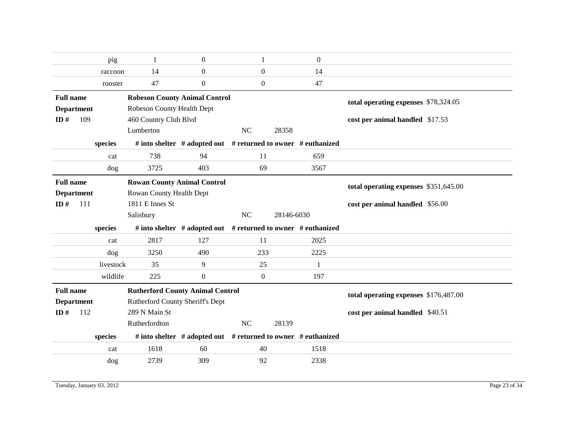|                   |     | pig       | $\mathbf{1}$                            | $\mathbf{0}$     | 1              | $\overline{0}$                                                      |                                       |  |
|-------------------|-----|-----------|-----------------------------------------|------------------|----------------|---------------------------------------------------------------------|---------------------------------------|--|
|                   |     | raccoon   | 14                                      | $\overline{0}$   | $\overline{0}$ | 14                                                                  |                                       |  |
|                   |     | rooster   | 47                                      | $\overline{0}$   | $\overline{0}$ | 47                                                                  |                                       |  |
| <b>Full name</b>  |     |           | <b>Robeson County Animal Control</b>    |                  |                |                                                                     | total operating expenses \$78,324.05  |  |
| <b>Department</b> |     |           | Robeson County Health Dept              |                  |                |                                                                     |                                       |  |
| ID $#$            | 109 |           | 460 Country Club Blvd                   |                  |                |                                                                     | cost per animal handled \$17.53       |  |
|                   |     |           | Lumberton                               |                  | NC             | 28358                                                               |                                       |  |
|                   |     | species   |                                         |                  |                | # into shelter # adopted out # returned to owner # euthanized       |                                       |  |
|                   |     | cat       | 738                                     | 94               | 11             | 659                                                                 |                                       |  |
|                   |     | dog       | 3725                                    | 403              | 69             | 3567                                                                |                                       |  |
| <b>Full name</b>  |     |           | <b>Rowan County Animal Control</b>      |                  |                |                                                                     | total operating expenses \$351,645.00 |  |
| <b>Department</b> |     |           | Rowan County Health Dept                |                  |                |                                                                     |                                       |  |
| ID $#$            | 111 |           | 1811 E Innes St                         |                  |                |                                                                     | cost per animal handled \$56.00       |  |
|                   |     |           |                                         |                  |                |                                                                     |                                       |  |
|                   |     |           | Salisbury                               |                  | NC             | 28146-6030                                                          |                                       |  |
|                   |     | species   |                                         |                  |                | # into shelter $#$ adopted out $#$ returned to owner $#$ euthanized |                                       |  |
|                   |     | cat       | 2817                                    | 127              | 11             | 2025                                                                |                                       |  |
|                   |     | dog       | 3250                                    | 490              | 233            | 2225                                                                |                                       |  |
|                   |     | livestock | 35                                      | 9                | 25             | 1                                                                   |                                       |  |
|                   |     | wildlife  | 225                                     | $\boldsymbol{0}$ | $\overline{0}$ | 197                                                                 |                                       |  |
| <b>Full name</b>  |     |           | <b>Rutherford County Animal Control</b> |                  |                |                                                                     |                                       |  |
| <b>Department</b> |     |           | Rutherford County Sheriff's Dept        |                  |                |                                                                     | total operating expenses \$176,487.00 |  |
| ID#               | 112 |           | 289 N Main St                           |                  |                |                                                                     | cost per animal handled \$40.51       |  |
|                   |     |           | Rutherfordton                           |                  | NC             | 28139                                                               |                                       |  |
|                   |     | species   |                                         |                  |                | # into shelter # adopted out # returned to owner # euthanized       |                                       |  |
|                   |     | cat       | 1618                                    | 60               | 40             | 1518                                                                |                                       |  |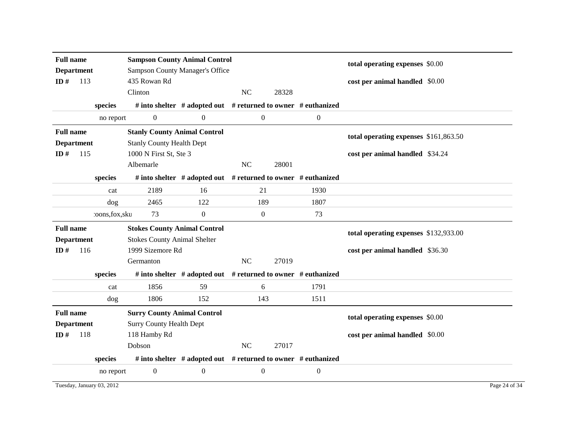|                   | <b>Sampson County Animal Control</b><br><b>Full name</b><br><b>Sampson County Manager's Office</b><br><b>Department</b> |                 |                                     |                                                                     |                  |       |                  | total operating expenses \$0.00       |  |
|-------------------|-------------------------------------------------------------------------------------------------------------------------|-----------------|-------------------------------------|---------------------------------------------------------------------|------------------|-------|------------------|---------------------------------------|--|
|                   |                                                                                                                         |                 |                                     |                                                                     |                  |       |                  |                                       |  |
| ID#               | 113                                                                                                                     |                 | 435 Rowan Rd                        |                                                                     |                  |       |                  | cost per animal handled \$0.00        |  |
|                   |                                                                                                                         |                 | Clinton                             |                                                                     | <b>NC</b>        | 28328 |                  |                                       |  |
|                   |                                                                                                                         | species         |                                     | # into shelter # adopted out # returned to owner # euthanized       |                  |       |                  |                                       |  |
|                   |                                                                                                                         | no report       | $\boldsymbol{0}$                    | $\boldsymbol{0}$                                                    | $\boldsymbol{0}$ |       | $\boldsymbol{0}$ |                                       |  |
| <b>Full name</b>  |                                                                                                                         |                 | <b>Stanly County Animal Control</b> |                                                                     |                  |       |                  | total operating expenses \$161,863.50 |  |
| <b>Department</b> |                                                                                                                         |                 | <b>Stanly County Health Dept</b>    |                                                                     |                  |       |                  |                                       |  |
| ID#               | 1000 N First St, Ste 3<br>115                                                                                           |                 |                                     | cost per animal handled \$34.24                                     |                  |       |                  |                                       |  |
|                   |                                                                                                                         |                 | Albemarle                           |                                                                     | <b>NC</b>        | 28001 |                  |                                       |  |
|                   |                                                                                                                         | species         |                                     | # into shelter $#$ adopted out $#$ returned to owner $#$ euthanized |                  |       |                  |                                       |  |
|                   |                                                                                                                         | cat             | 2189                                | 16                                                                  | 21               |       | 1930             |                                       |  |
|                   |                                                                                                                         | dog             | 2465                                | 122                                                                 | 189              |       | 1807             |                                       |  |
|                   |                                                                                                                         | coons, fox, sku | 73                                  | $\boldsymbol{0}$                                                    | $\overline{0}$   |       | 73               |                                       |  |
| <b>Full name</b>  |                                                                                                                         |                 | <b>Stokes County Animal Control</b> |                                                                     |                  |       |                  | total operating expenses \$132,933.00 |  |
| <b>Department</b> |                                                                                                                         |                 | <b>Stokes County Animal Shelter</b> |                                                                     |                  |       |                  |                                       |  |
| ID#               | 116                                                                                                                     |                 | 1999 Sizemore Rd                    |                                                                     |                  |       |                  | cost per animal handled \$36.30       |  |
|                   |                                                                                                                         |                 | Germanton                           |                                                                     | <b>NC</b>        | 27019 |                  |                                       |  |
|                   |                                                                                                                         | species         |                                     | # into shelter # adopted out # returned to owner # euthanized       |                  |       |                  |                                       |  |
|                   |                                                                                                                         | cat             | 1856                                | 59                                                                  | 6                |       | 1791             |                                       |  |
|                   |                                                                                                                         | dog             | 1806                                | 152                                                                 | 143              |       | 1511             |                                       |  |
| <b>Full name</b>  |                                                                                                                         |                 | <b>Surry County Animal Control</b>  |                                                                     |                  |       |                  | total operating expenses \$0.00       |  |
| <b>Department</b> |                                                                                                                         |                 | <b>Surry County Health Dept</b>     |                                                                     |                  |       |                  |                                       |  |
| ID#               | 118                                                                                                                     |                 | 118 Hamby Rd                        |                                                                     |                  |       |                  | cost per animal handled \$0.00        |  |
|                   |                                                                                                                         |                 | Dobson                              |                                                                     | NC               | 27017 |                  |                                       |  |
|                   | # into shelter # adopted out # returned to owner # euthanized<br>species                                                |                 |                                     |                                                                     |                  |       |                  |                                       |  |
|                   | $\boldsymbol{0}$<br>$\boldsymbol{0}$<br>$\boldsymbol{0}$<br>$\boldsymbol{0}$<br>no report                               |                 |                                     |                                                                     |                  |       |                  |                                       |  |

Tuesday, January 03, 2012 Page 24 of 34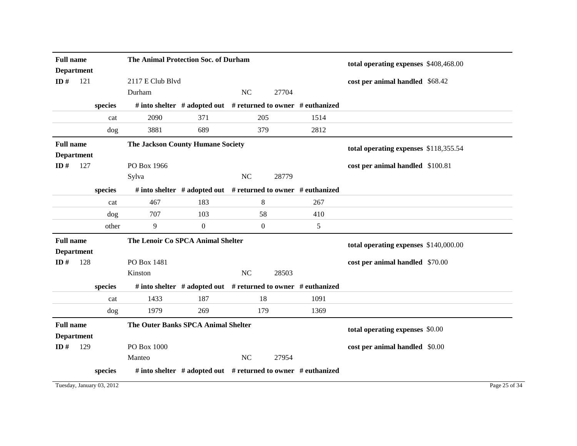| <b>Full name</b><br><b>Department</b> |     |         | The Animal Protection Soc. of Durham     |                  |                                                                     | total operating expenses \$408,468.00 |                                       |
|---------------------------------------|-----|---------|------------------------------------------|------------------|---------------------------------------------------------------------|---------------------------------------|---------------------------------------|
| ID#                                   | 121 |         | 2117 E Club Blvd                         |                  |                                                                     |                                       | cost per animal handled \$68.42       |
|                                       |     |         | Durham                                   |                  | <b>NC</b><br>27704                                                  |                                       |                                       |
|                                       |     | species |                                          |                  | # into shelter # adopted out # returned to owner # euthanized       |                                       |                                       |
|                                       |     | cat     | 2090                                     | 371              | 205                                                                 | 1514                                  |                                       |
|                                       |     | dog     | 3881                                     | 689              | 379                                                                 | 2812                                  |                                       |
| <b>Full name</b><br><b>Department</b> |     |         | <b>The Jackson County Humane Society</b> |                  |                                                                     |                                       | total operating expenses \$118,355.54 |
| ID $#$                                | 127 |         | PO Box 1966                              |                  |                                                                     |                                       | cost per animal handled \$100.81      |
|                                       |     |         | Sylva                                    |                  | <b>NC</b><br>28779                                                  |                                       |                                       |
|                                       |     | species |                                          |                  | # into shelter $#$ adopted out $#$ returned to owner $#$ euthanized |                                       |                                       |
|                                       |     | cat     | 467                                      | 183              | 8                                                                   | 267                                   |                                       |
|                                       |     | dog     | 707                                      | 103              | 58                                                                  | 410                                   |                                       |
|                                       |     | other   | 9                                        | $\boldsymbol{0}$ | $\boldsymbol{0}$                                                    | 5                                     |                                       |
| <b>Full name</b>                      |     |         |                                          |                  |                                                                     |                                       |                                       |
|                                       |     |         | The Lenoir Co SPCA Animal Shelter        |                  |                                                                     |                                       |                                       |
| <b>Department</b>                     |     |         |                                          |                  |                                                                     |                                       | total operating expenses \$140,000.00 |
| ID $#$                                | 128 |         | PO Box 1481                              |                  |                                                                     |                                       | cost per animal handled \$70.00       |
|                                       |     |         | Kinston                                  |                  | $NC$<br>28503                                                       |                                       |                                       |
|                                       |     | species |                                          |                  | # into shelter $#$ adopted out $#$ returned to owner $#$ euthanized |                                       |                                       |
|                                       |     | cat     | 1433                                     | 187              | 18                                                                  | 1091                                  |                                       |
|                                       |     | dog     | 1979                                     | 269              | 179                                                                 | 1369                                  |                                       |
| <b>Full name</b>                      |     |         | The Outer Banks SPCA Animal Shelter      |                  |                                                                     |                                       |                                       |
| <b>Department</b>                     |     |         |                                          |                  |                                                                     |                                       | total operating expenses \$0.00       |
| ID#                                   | 129 |         | PO Box 1000                              |                  |                                                                     |                                       | cost per animal handled \$0.00        |
|                                       |     |         | Manteo                                   |                  | NC<br>27954                                                         |                                       |                                       |

Tuesday, January 03, 2012 Page 25 of 34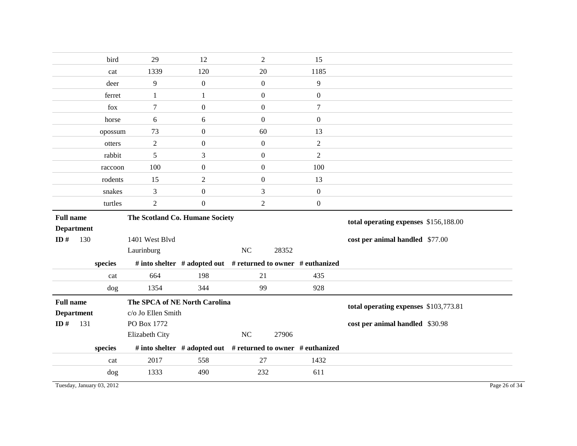|                   | bird    | 29                              | 12               | $\boldsymbol{2}$ | 15                                                            |                                       |
|-------------------|---------|---------------------------------|------------------|------------------|---------------------------------------------------------------|---------------------------------------|
|                   | cat     | 1339                            | 120              | 20               | 1185                                                          |                                       |
|                   | deer    | $\overline{9}$                  | $\boldsymbol{0}$ | $\overline{0}$   | 9                                                             |                                       |
|                   | ferret  | $\mathbf{1}$                    | 1                | $\overline{0}$   | $\boldsymbol{0}$                                              |                                       |
|                   | fox     | 7                               | $\mathbf{0}$     | $\overline{0}$   | $\tau$                                                        |                                       |
|                   | horse   | 6                               | 6                | $\overline{0}$   | $\mathbf{0}$                                                  |                                       |
|                   | opossum | 73                              | $\boldsymbol{0}$ | 60               | 13                                                            |                                       |
|                   | otters  | $\overline{2}$                  | $\boldsymbol{0}$ | $\boldsymbol{0}$ | $\overline{2}$                                                |                                       |
|                   | rabbit  | 5                               | 3                | $\mathbf{0}$     | $\overline{2}$                                                |                                       |
|                   | raccoon | 100                             | $\boldsymbol{0}$ | $\overline{0}$   | 100                                                           |                                       |
|                   | rodents | 15                              | $\overline{2}$   | $\overline{0}$   | 13                                                            |                                       |
|                   | snakes  | 3                               | $\boldsymbol{0}$ | $\mathfrak{Z}$   | $\boldsymbol{0}$                                              |                                       |
|                   | turtles | $\overline{2}$                  | $\boldsymbol{0}$ | $\boldsymbol{2}$ | $\boldsymbol{0}$                                              |                                       |
| <b>Full name</b>  |         | The Scotland Co. Humane Society |                  |                  |                                                               | total operating expenses \$156,188.00 |
| <b>Department</b> |         |                                 |                  |                  |                                                               |                                       |
| ID#               | 130     | 1401 West Blvd                  |                  |                  |                                                               | cost per animal handled \$77.00       |
|                   |         | Laurinburg                      |                  | NC               | 28352                                                         |                                       |
|                   |         |                                 |                  |                  |                                                               |                                       |
|                   | species |                                 |                  |                  | # into shelter # adopted out # returned to owner # euthanized |                                       |
|                   | cat     | 664                             | 198              | 21               | 435                                                           |                                       |
|                   | dog     | 1354                            | 344              | 99               | 928                                                           |                                       |
| <b>Full name</b>  |         | The SPCA of NE North Carolina   |                  |                  |                                                               |                                       |
| <b>Department</b> |         | c/o Jo Ellen Smith              |                  |                  |                                                               | total operating expenses \$103,773.81 |
| ID#               | 131     | PO Box 1772                     |                  |                  |                                                               | cost per animal handled \$30.98       |
|                   |         | Elizabeth City                  |                  | $_{\mathrm{NC}}$ | 27906                                                         |                                       |
|                   | species |                                 |                  |                  | # into shelter # adopted out # returned to owner # euthanized |                                       |
|                   | cat     | 2017                            | 558              | 27               | 1432                                                          |                                       |
|                   | dog     | 1333                            | 490              | 232              | 611                                                           |                                       |

Tuesday, January 03, 2012 Page 26 of 34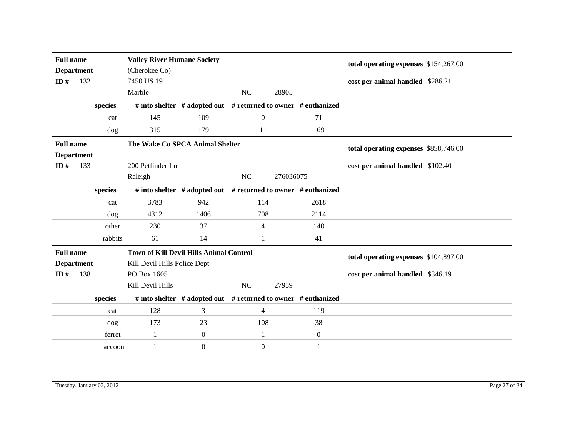| <b>Full name</b><br><b>Department</b><br>ID# | 132 |         | <b>Valley River Humane Society</b><br>(Cherokee Co)<br>7450 US 19 |                                                                     |                  |                                       |                  | total operating expenses \$154,267.00<br>cost per animal handled \$286.21 |  |
|----------------------------------------------|-----|---------|-------------------------------------------------------------------|---------------------------------------------------------------------|------------------|---------------------------------------|------------------|---------------------------------------------------------------------------|--|
|                                              |     |         | Marble                                                            |                                                                     | <b>NC</b>        | 28905                                 |                  |                                                                           |  |
|                                              |     | species |                                                                   | # into shelter # adopted out # returned to owner # euthanized       |                  |                                       |                  |                                                                           |  |
|                                              |     | cat     | 145                                                               | 109                                                                 | $\boldsymbol{0}$ |                                       | 71               |                                                                           |  |
|                                              |     | dog     | 315                                                               | 179                                                                 | 11               |                                       | 169              |                                                                           |  |
| <b>Full name</b><br><b>Department</b>        |     |         | The Wake Co SPCA Animal Shelter                                   |                                                                     |                  |                                       |                  | total operating expenses \$858,746.00                                     |  |
| ID $#$                                       | 133 |         | 200 Petfinder Ln                                                  |                                                                     |                  |                                       |                  | cost per animal handled \$102.40                                          |  |
|                                              |     |         | Raleigh                                                           |                                                                     | <b>NC</b>        | 276036075                             |                  |                                                                           |  |
|                                              |     | species |                                                                   | # into shelter $#$ adopted out $#$ returned to owner $#$ euthanized |                  |                                       |                  |                                                                           |  |
|                                              |     | cat     | 3783                                                              | 942                                                                 | 114              |                                       | 2618             |                                                                           |  |
|                                              |     | dog     | 4312                                                              | 1406                                                                | 708              |                                       | 2114             |                                                                           |  |
|                                              |     | other   | 230                                                               | 37                                                                  | 4                |                                       | 140              |                                                                           |  |
|                                              |     | rabbits | 61                                                                | 14                                                                  | 1                |                                       | 41               |                                                                           |  |
| <b>Full name</b>                             |     |         | <b>Town of Kill Devil Hills Animal Control</b>                    |                                                                     |                  | total operating expenses \$104,897.00 |                  |                                                                           |  |
| <b>Department</b>                            |     |         | Kill Devil Hills Police Dept                                      |                                                                     |                  |                                       |                  |                                                                           |  |
| ID#                                          | 138 |         | PO Box 1605                                                       |                                                                     |                  |                                       |                  | cost per animal handled \$346.19                                          |  |
|                                              |     |         | Kill Devil Hills                                                  |                                                                     | NC               | 27959                                 |                  |                                                                           |  |
|                                              |     | species |                                                                   | # into shelter # adopted out # returned to owner # euthanized       |                  |                                       |                  |                                                                           |  |
|                                              |     | cat     | 128                                                               | 3                                                                   | 4                |                                       | 119              |                                                                           |  |
|                                              |     | dog     | 173                                                               | 23                                                                  | 108              |                                       | 38               |                                                                           |  |
|                                              |     | ferret  | $\mathbf{1}$                                                      | $\boldsymbol{0}$                                                    | $\mathbf{1}$     |                                       | $\boldsymbol{0}$ |                                                                           |  |
|                                              |     | raccoon | 1                                                                 | $\boldsymbol{0}$                                                    | $\overline{0}$   |                                       | 1                |                                                                           |  |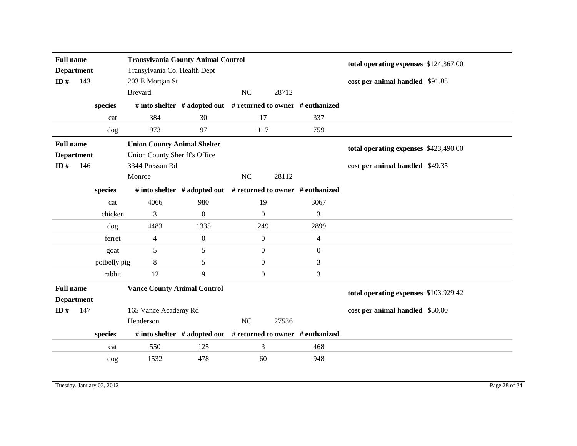| <b>Full name</b><br><b>Department</b><br>ID $#$<br>143 |     |              | <b>Transylvania County Animal Control</b><br>Transylvania Co. Health Dept<br>203 E Morgan St<br><b>Brevard</b> | <b>NC</b>                                                           | 28712            |       | total operating expenses \$124,367.00<br>cost per animal handled \$91.85 |                                                                          |  |
|--------------------------------------------------------|-----|--------------|----------------------------------------------------------------------------------------------------------------|---------------------------------------------------------------------|------------------|-------|--------------------------------------------------------------------------|--------------------------------------------------------------------------|--|
|                                                        |     | species      |                                                                                                                | # into shelter # adopted out # returned to owner # euthanized       |                  |       |                                                                          |                                                                          |  |
|                                                        |     | cat          | 384                                                                                                            | 30                                                                  | 17               |       | 337                                                                      |                                                                          |  |
|                                                        |     | dog          | 973                                                                                                            | 97                                                                  | 117              |       | 759                                                                      |                                                                          |  |
| <b>Full name</b><br><b>Department</b><br>146<br>ID#    |     |              | <b>Union County Animal Shelter</b><br>Union County Sheriff's Office<br>3344 Presson Rd<br>Monroe               |                                                                     | NC               | 28112 |                                                                          | total operating expenses \$423,490.00<br>cost per animal handled \$49.35 |  |
|                                                        |     | species      |                                                                                                                | # into shelter # adopted out # returned to owner # euthanized       |                  |       |                                                                          |                                                                          |  |
|                                                        |     | cat          | 4066                                                                                                           | 980                                                                 | 19               |       | 3067                                                                     |                                                                          |  |
|                                                        |     | chicken      | 3                                                                                                              | $\Omega$                                                            | $\boldsymbol{0}$ |       | 3                                                                        |                                                                          |  |
|                                                        |     | dog          | 4483                                                                                                           | 1335                                                                | 249              |       | 2899                                                                     |                                                                          |  |
|                                                        |     | ferret       | $\overline{4}$                                                                                                 | $\overline{0}$                                                      | $\boldsymbol{0}$ |       | $\overline{4}$                                                           |                                                                          |  |
|                                                        |     | goat         | 5                                                                                                              | 5                                                                   | $\overline{0}$   |       | $\mathbf{0}$                                                             |                                                                          |  |
|                                                        |     | potbelly pig | $\,8\,$                                                                                                        | 5                                                                   | $\boldsymbol{0}$ |       | 3                                                                        |                                                                          |  |
|                                                        |     | rabbit       | 12                                                                                                             | 9                                                                   | $\overline{0}$   |       | 3                                                                        |                                                                          |  |
| <b>Full name</b><br><b>Department</b>                  |     |              | <b>Vance County Animal Control</b>                                                                             |                                                                     |                  |       |                                                                          | total operating expenses \$103,929.42                                    |  |
| ID $#$                                                 | 147 |              | 165 Vance Academy Rd                                                                                           |                                                                     |                  |       |                                                                          | cost per animal handled \$50.00                                          |  |
|                                                        |     |              | Henderson                                                                                                      |                                                                     | NC               | 27536 |                                                                          |                                                                          |  |
|                                                        |     | species      |                                                                                                                | # into shelter $#$ adopted out $#$ returned to owner $#$ euthanized |                  |       |                                                                          |                                                                          |  |
|                                                        |     | cat          | 550                                                                                                            | 125                                                                 | 3                |       | 468                                                                      |                                                                          |  |
|                                                        |     | dog          | 1532                                                                                                           | 478                                                                 | 60               |       | 948                                                                      |                                                                          |  |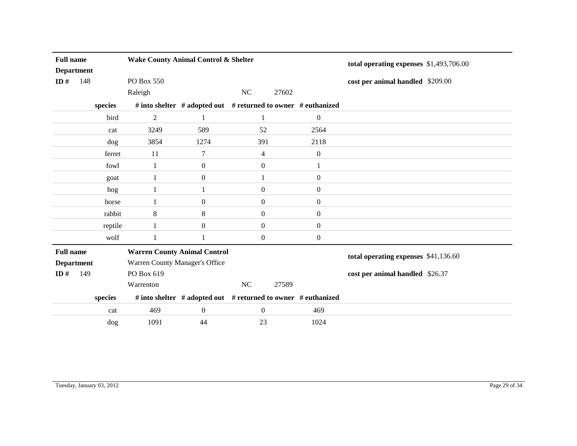| <b>Full name</b><br><b>Department</b> |     |                 | Wake County Animal Control & Shelter |                                                               |                  | total operating expenses \$1,493,706.00 |                  |                                      |
|---------------------------------------|-----|-----------------|--------------------------------------|---------------------------------------------------------------|------------------|-----------------------------------------|------------------|--------------------------------------|
| ID $#$                                | 148 |                 | PO Box 550                           |                                                               |                  |                                         |                  | cost per animal handled \$209.00     |
|                                       |     |                 | Raleigh                              |                                                               | NC               | 27602                                   |                  |                                      |
|                                       |     | species         |                                      | # into shelter # adopted out # returned to owner # euthanized |                  |                                         |                  |                                      |
|                                       |     | bird            | $\overline{2}$                       | 1                                                             | 1                |                                         | $\boldsymbol{0}$ |                                      |
|                                       |     | cat             | 3249                                 | 589                                                           | 52               |                                         | 2564             |                                      |
|                                       |     | dog             | 3854                                 | 1274                                                          | 391              |                                         | 2118             |                                      |
|                                       |     | ferret          | 11<br>7                              |                                                               | 4                |                                         | $\boldsymbol{0}$ |                                      |
|                                       |     | fowl            | $\boldsymbol{0}$<br>$\mathbf{1}$     |                                                               | $\boldsymbol{0}$ |                                         | 1                |                                      |
|                                       |     | goat            | 1                                    | $\boldsymbol{0}$                                              | $\mathbf{1}$     |                                         | $\overline{0}$   |                                      |
|                                       |     | hog             | 1                                    |                                                               | $\boldsymbol{0}$ |                                         | $\boldsymbol{0}$ |                                      |
|                                       |     | horse           | 1                                    | $\boldsymbol{0}$                                              | $\boldsymbol{0}$ |                                         | $\boldsymbol{0}$ |                                      |
|                                       |     | rabbit          | 8                                    | 8                                                             | $\boldsymbol{0}$ |                                         | $\boldsymbol{0}$ |                                      |
|                                       |     | reptile         | 1                                    | $\mathbf{0}$                                                  | $\overline{0}$   |                                         | $\overline{0}$   |                                      |
|                                       |     | wolf            | 1                                    | 1                                                             | $\overline{0}$   |                                         | $\overline{0}$   |                                      |
| <b>Full name</b>                      |     |                 | <b>Warren County Animal Control</b>  |                                                               |                  |                                         |                  | total operating expenses \$41,136.60 |
| <b>Department</b>                     |     |                 | Warren County Manager's Office       |                                                               |                  |                                         |                  |                                      |
| ID $#$                                | 149 |                 | PO Box 619                           |                                                               |                  |                                         |                  | cost per animal handled \$26.37      |
|                                       |     |                 | Warrenton                            |                                                               | NC               | 27589                                   |                  |                                      |
|                                       |     | ${\bf species}$ |                                      | # into shelter # adopted out # returned to owner # euthanized |                  |                                         |                  |                                      |
|                                       |     | cat             | 469                                  | $\boldsymbol{0}$                                              | $\overline{0}$   |                                         | 469              |                                      |
|                                       |     | dog             | 1091                                 | 44                                                            | 23               |                                         | 1024             |                                      |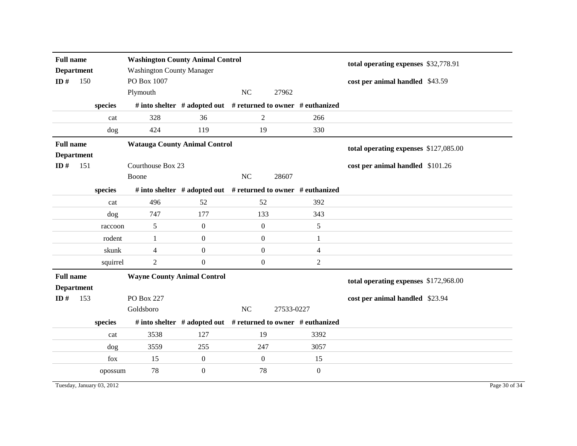| <b>Full name</b><br><b>Department</b><br>ID $#$<br>150 |     |          | <b>Washington County Animal Control</b><br><b>Washington County Manager</b><br>PO Box 1007 |                                                               |                  | total operating expenses \$32,778.91<br>cost per animal handled \$43.59 |                |                                       |  |
|--------------------------------------------------------|-----|----------|--------------------------------------------------------------------------------------------|---------------------------------------------------------------|------------------|-------------------------------------------------------------------------|----------------|---------------------------------------|--|
|                                                        |     |          | Plymouth                                                                                   |                                                               | NC               | 27962                                                                   |                |                                       |  |
|                                                        |     | species  |                                                                                            | # into shelter # adopted out # returned to owner # euthanized |                  |                                                                         |                |                                       |  |
|                                                        |     | cat      | 328                                                                                        | 36                                                            | $\overline{2}$   |                                                                         | 266            |                                       |  |
|                                                        |     | dog      | 424                                                                                        | 119                                                           | 19               |                                                                         | 330            |                                       |  |
| <b>Full name</b><br><b>Department</b>                  |     |          | <b>Watauga County Animal Control</b>                                                       |                                                               |                  |                                                                         |                | total operating expenses \$127,085.00 |  |
| ID $#$                                                 | 151 |          | Courthouse Box 23                                                                          |                                                               |                  |                                                                         |                | cost per animal handled \$101.26      |  |
|                                                        |     |          | Boone                                                                                      |                                                               | NC               | 28607                                                                   |                |                                       |  |
|                                                        |     | species  |                                                                                            | # into shelter # adopted out # returned to owner # euthanized |                  |                                                                         |                |                                       |  |
|                                                        |     | cat      | 496                                                                                        | 52                                                            | 52               |                                                                         | 392            |                                       |  |
|                                                        |     | dog      | 747                                                                                        | 177                                                           | 133              |                                                                         | 343            |                                       |  |
|                                                        |     | raccoon  | 5                                                                                          | $\boldsymbol{0}$                                              | $\boldsymbol{0}$ |                                                                         | 5              |                                       |  |
|                                                        |     | rodent   | 1                                                                                          | $\boldsymbol{0}$                                              | $\boldsymbol{0}$ |                                                                         | $\mathbf{1}$   |                                       |  |
|                                                        |     | skunk    | $\overline{4}$                                                                             | $\boldsymbol{0}$                                              | $\boldsymbol{0}$ |                                                                         | $\overline{4}$ |                                       |  |
|                                                        |     | squirrel | $\overline{2}$                                                                             | $\boldsymbol{0}$                                              | $\boldsymbol{0}$ |                                                                         | $\overline{2}$ |                                       |  |
| <b>Full name</b><br><b>Department</b>                  |     |          |                                                                                            |                                                               |                  | total operating expenses \$172,968.00                                   |                |                                       |  |
| ID $#$                                                 | 153 |          | PO Box 227                                                                                 |                                                               |                  |                                                                         |                | cost per animal handled \$23.94       |  |
|                                                        |     |          | Goldsboro                                                                                  |                                                               | NC               | 27533-0227                                                              |                |                                       |  |
|                                                        |     | species  |                                                                                            | # into shelter # adopted out # returned to owner # euthanized |                  |                                                                         |                |                                       |  |
|                                                        |     | cat      | 3538                                                                                       | 127                                                           | 19               |                                                                         | 3392           |                                       |  |
|                                                        |     | dog      | 3559                                                                                       | 255                                                           | 247              |                                                                         | 3057           |                                       |  |
|                                                        |     | fox      | 15                                                                                         | $\boldsymbol{0}$                                              | $\boldsymbol{0}$ |                                                                         | 15             |                                       |  |
|                                                        |     | opossum  | 78                                                                                         | $\boldsymbol{0}$                                              | 78               |                                                                         | $\mathbf{0}$   |                                       |  |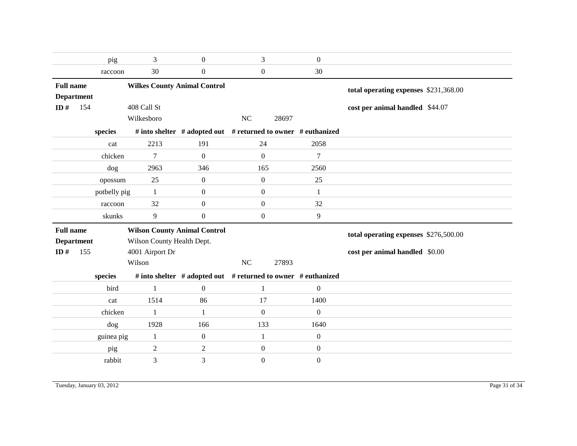|                   |         | pig                                                                      | 3                                   | $\boldsymbol{0}$ | 3                                                             | $\mathbf{0}$     |                                       |
|-------------------|---------|--------------------------------------------------------------------------|-------------------------------------|------------------|---------------------------------------------------------------|------------------|---------------------------------------|
|                   |         | raccoon                                                                  | 30                                  | $\boldsymbol{0}$ | $\boldsymbol{0}$                                              | 30               |                                       |
| <b>Full name</b>  |         | <b>Wilkes County Animal Control</b>                                      |                                     |                  |                                                               |                  | total operating expenses \$231,368.00 |
| <b>Department</b> |         |                                                                          |                                     |                  |                                                               |                  |                                       |
| ID $#$            | 154     |                                                                          | 408 Call St<br>Wilkesboro           |                  | NC<br>28697                                                   |                  | cost per animal handled \$44.07       |
|                   |         |                                                                          |                                     |                  |                                                               |                  |                                       |
|                   |         | # into shelter # adopted out # returned to owner # euthanized<br>species |                                     |                  |                                                               |                  |                                       |
|                   |         | 2213<br>191<br>cat                                                       |                                     |                  | 24                                                            | 2058             |                                       |
|                   |         | chicken                                                                  | 7                                   | $\overline{0}$   | $\mathbf{0}$                                                  | $\tau$           |                                       |
|                   | dog     |                                                                          | 2963                                | 346              | 165                                                           | 2560             |                                       |
|                   | opossum |                                                                          | 25                                  | $\boldsymbol{0}$ | $\mathbf{0}$                                                  | 25               |                                       |
|                   |         | potbelly pig                                                             | -1                                  | $\boldsymbol{0}$ | $\boldsymbol{0}$                                              | $\mathbf{1}$     |                                       |
|                   |         | raccoon                                                                  | 32                                  | $\mathbf{0}$     | $\overline{0}$                                                | 32               |                                       |
|                   |         | skunks                                                                   | 9                                   |                  | $\boldsymbol{0}$                                              | $\overline{9}$   |                                       |
|                   |         |                                                                          |                                     | $\boldsymbol{0}$ |                                                               |                  |                                       |
| <b>Full name</b>  |         |                                                                          | <b>Wilson County Animal Control</b> |                  |                                                               |                  |                                       |
| <b>Department</b> |         |                                                                          | Wilson County Health Dept.          |                  |                                                               |                  | total operating expenses \$276,500.00 |
| ID#               | 155     |                                                                          | 4001 Airport Dr                     |                  |                                                               |                  | cost per animal handled \$0.00        |
|                   |         |                                                                          | Wilson                              |                  | NC<br>27893                                                   |                  |                                       |
|                   |         | species                                                                  |                                     |                  | # into shelter # adopted out # returned to owner # euthanized |                  |                                       |
|                   |         | bird                                                                     | $\overline{1}$                      | $\theta$         | $\mathbf{1}$                                                  | $\overline{0}$   |                                       |
|                   |         | cat                                                                      | 1514                                | 86               | 17                                                            | 1400             |                                       |
|                   |         | chicken                                                                  | 1                                   | 1                | $\mathbf{0}$                                                  | $\boldsymbol{0}$ |                                       |
|                   |         | dog                                                                      | 1928                                | 166              | 133                                                           | 1640             |                                       |
|                   |         | guinea pig                                                               | $\mathbf{1}$                        | $\boldsymbol{0}$ | $\mathbf{1}$                                                  | $\boldsymbol{0}$ |                                       |
|                   |         | pig                                                                      | $\overline{2}$                      | $\overline{2}$   | $\boldsymbol{0}$                                              | $\boldsymbol{0}$ |                                       |
|                   |         | rabbit                                                                   | 3                                   | 3                | $\boldsymbol{0}$                                              | $\boldsymbol{0}$ |                                       |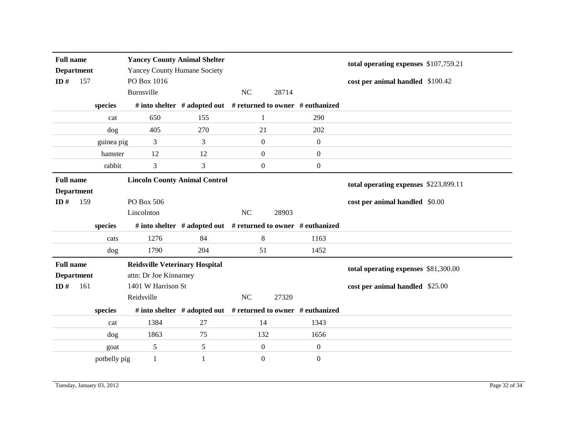| <b>Full name</b><br><b>Department</b><br>ID#<br>157 |            | <b>Yancey County Animal Shelter</b><br><b>Yancey County Humane Society</b><br>PO Box 1016 |                                       |            |                                                               | total operating expenses \$107,759.21<br>cost per animal handled \$100.42 |                                       |
|-----------------------------------------------------|------------|-------------------------------------------------------------------------------------------|---------------------------------------|------------|---------------------------------------------------------------|---------------------------------------------------------------------------|---------------------------------------|
|                                                     |            |                                                                                           | Burnsville                            |            | <b>NC</b><br>28714                                            |                                                                           |                                       |
|                                                     |            | species                                                                                   |                                       |            | # into shelter # adopted out # returned to owner # euthanized |                                                                           |                                       |
|                                                     |            | cat                                                                                       | 650                                   | 155        | 1                                                             | 290                                                                       |                                       |
|                                                     |            | dog                                                                                       | 405                                   | 270        | 21                                                            | 202                                                                       |                                       |
|                                                     | guinea pig |                                                                                           | 3                                     | 3          | $\boldsymbol{0}$                                              | $\boldsymbol{0}$                                                          |                                       |
|                                                     |            | hamster                                                                                   | 12                                    | 12         | $\boldsymbol{0}$                                              | $\boldsymbol{0}$                                                          |                                       |
|                                                     |            | rabbit                                                                                    | 3                                     | 3          | $\boldsymbol{0}$                                              | $\boldsymbol{0}$                                                          |                                       |
| <b>Full name</b>                                    |            |                                                                                           | <b>Lincoln County Animal Control</b>  |            |                                                               |                                                                           | total operating expenses \$223,899.11 |
| <b>Department</b>                                   |            |                                                                                           |                                       |            |                                                               |                                                                           |                                       |
| ID $#$                                              | 159        |                                                                                           | PO Box 506                            |            |                                                               |                                                                           | cost per animal handled \$0.00        |
|                                                     |            |                                                                                           |                                       |            |                                                               |                                                                           |                                       |
|                                                     |            |                                                                                           | Lincolnton                            |            | NC<br>28903                                                   |                                                                           |                                       |
|                                                     |            | species                                                                                   |                                       |            | # into shelter # adopted out # returned to owner # euthanized |                                                                           |                                       |
|                                                     |            | cats                                                                                      | 1276                                  | 84         | $\,8\,$                                                       | 1163                                                                      |                                       |
|                                                     |            | dog                                                                                       | 1790                                  | 204        | 51                                                            | 1452                                                                      |                                       |
| <b>Full name</b>                                    |            |                                                                                           | <b>Reidsville Veterinary Hospital</b> |            |                                                               |                                                                           |                                       |
| <b>Department</b>                                   |            |                                                                                           | attn: Dr Joe Kinnarney                |            |                                                               |                                                                           | total operating expenses \$81,300.00  |
| ID $#$                                              | 161        |                                                                                           | 1401 W Harrison St                    |            |                                                               |                                                                           | cost per animal handled \$25.00       |
|                                                     |            |                                                                                           | Reidsville                            |            | <b>NC</b><br>27320                                            |                                                                           |                                       |
|                                                     |            | species                                                                                   |                                       |            | # into shelter # adopted out # returned to owner # euthanized |                                                                           |                                       |
|                                                     |            | cat                                                                                       | 1384                                  | 27         | 14                                                            | 1343                                                                      |                                       |
|                                                     |            | dog                                                                                       | 1863                                  | 75         | 132                                                           | 1656                                                                      |                                       |
|                                                     |            | goat                                                                                      | 5                                     | $\sqrt{5}$ | $\boldsymbol{0}$                                              | $\boldsymbol{0}$                                                          |                                       |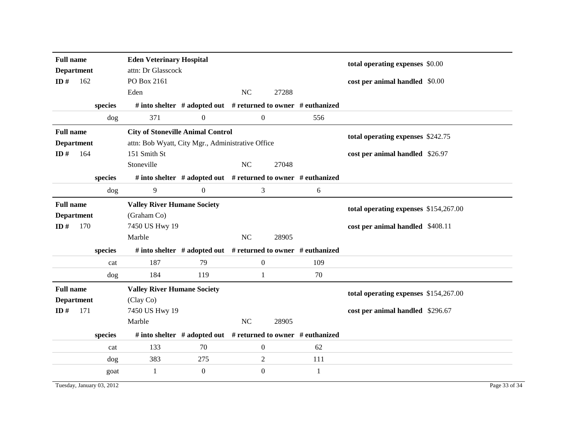| <b>Full name</b><br><b>Department</b> |     |                           | <b>Eden Veterinary Hospital</b><br>attn: Dr Glasscock |                                                                     |    |                  |              | total operating expenses \$0.00       |
|---------------------------------------|-----|---------------------------|-------------------------------------------------------|---------------------------------------------------------------------|----|------------------|--------------|---------------------------------------|
| ID $#$                                | 162 |                           | PO Box 2161<br>Eden                                   |                                                                     | NC | 27288            |              | cost per animal handled \$0.00        |
|                                       |     |                           |                                                       |                                                                     |    |                  |              |                                       |
|                                       |     | species                   |                                                       | # into shelter $#$ adopted out $#$ returned to owner $#$ euthanized |    |                  |              |                                       |
|                                       |     | dog                       | 371                                                   | $\overline{0}$                                                      |    | $\overline{0}$   | 556          |                                       |
| <b>Full name</b>                      |     |                           | <b>City of Stoneville Animal Control</b>              |                                                                     |    |                  |              | total operating expenses \$242.75     |
| <b>Department</b>                     |     |                           | attn: Bob Wyatt, City Mgr., Administrative Office     |                                                                     |    |                  |              |                                       |
| ID#                                   | 164 |                           | 151 Smith St                                          |                                                                     |    |                  |              | cost per animal handled \$26.97       |
|                                       |     |                           | Stoneville                                            |                                                                     | NC | 27048            |              |                                       |
|                                       |     | species                   |                                                       | # into shelter # adopted out # returned to owner # euthanized       |    |                  |              |                                       |
|                                       |     | dog                       | 9                                                     | $\boldsymbol{0}$                                                    |    | 3                | 6            |                                       |
| <b>Full name</b>                      |     |                           | <b>Valley River Humane Society</b>                    |                                                                     |    |                  |              |                                       |
| <b>Department</b>                     |     |                           | (Graham Co)                                           |                                                                     |    |                  |              | total operating expenses \$154,267.00 |
| ID#                                   | 170 |                           | 7450 US Hwy 19                                        |                                                                     |    |                  |              | cost per animal handled \$408.11      |
|                                       |     |                           | Marble                                                |                                                                     | NC | 28905            |              |                                       |
|                                       |     | species                   |                                                       | # into shelter # adopted out # returned to owner # euthanized       |    |                  |              |                                       |
|                                       |     | cat                       | 187                                                   | 79                                                                  |    | $\boldsymbol{0}$ | 109          |                                       |
|                                       |     | dog                       | 184                                                   | 119                                                                 |    | 1                | 70           |                                       |
| <b>Full name</b>                      |     |                           | <b>Valley River Humane Society</b>                    |                                                                     |    |                  |              | total operating expenses \$154,267.00 |
| <b>Department</b>                     |     |                           | (Clay Co)                                             |                                                                     |    |                  |              |                                       |
| ID $#$                                | 171 |                           | 7450 US Hwy 19                                        |                                                                     |    |                  |              | cost per animal handled \$296.67      |
|                                       |     |                           | Marble                                                |                                                                     | NC | 28905            |              |                                       |
|                                       |     | species                   |                                                       | # into shelter # adopted out # returned to owner # euthanized       |    |                  |              |                                       |
|                                       |     | cat                       | 133                                                   | 70                                                                  |    | $\mathbf{0}$     | 62           |                                       |
|                                       |     | dog                       | 383                                                   | 275                                                                 |    | $\overline{2}$   | 111          |                                       |
|                                       |     | goat                      | $\mathbf{1}$                                          | $\boldsymbol{0}$                                                    |    | $\boldsymbol{0}$ | $\mathbf{1}$ |                                       |
|                                       |     | Tuesday, January 03, 2012 |                                                       |                                                                     |    |                  |              | Page 33 of 34                         |